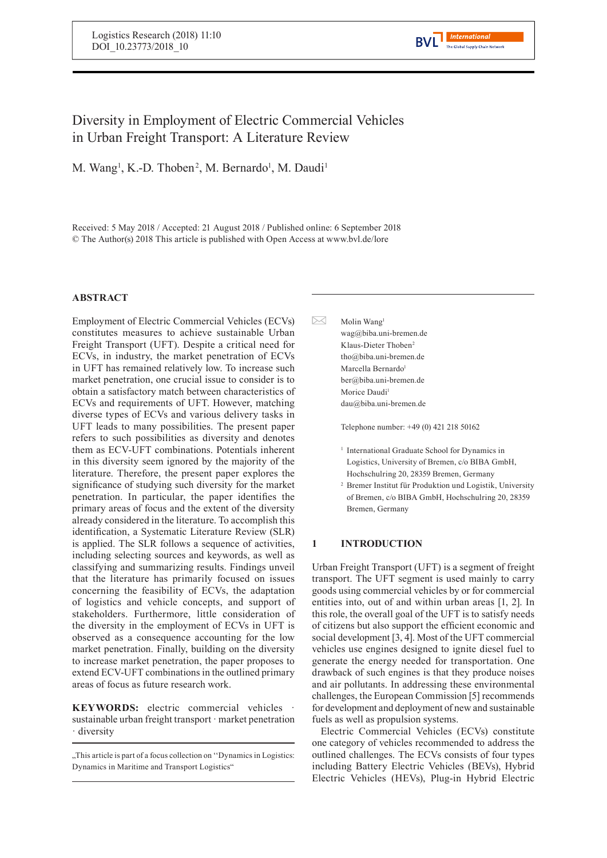# Diversity in Employment of Electric Commercial Vehicles in Urban Freight Transport: A Literature Review

M. Wang<sup>1</sup>, K.-D. Thoben<sup>2</sup>, M. Bernardo<sup>1</sup>, M. Daudi<sup>1</sup>

Received: 5 May 2018 / Accepted: 21 August 2018 / Published online: 6 September 2018 © The Author(s) 2018 This article is published with Open Access at www.bvl.de/lore

## **ABSTRACT**

Employment of Electric Commercial Vehicles (ECVs) constitutes measures to achieve sustainable Urban Freight Transport (UFT). Despite a critical need for ECVs, in industry, the market penetration of ECVs in UFT has remained relatively low. To increase such market penetration, one crucial issue to consider is to obtain a satisfactory match between characteristics of ECVs and requirements of UFT. However, matching diverse types of ECVs and various delivery tasks in UFT leads to many possibilities. The present paper refers to such possibilities as diversity and denotes them as ECV-UFT combinations. Potentials inherent in this diversity seem ignored by the majority of the literature. Therefore, the present paper explores the significance of studying such diversity for the market penetration. In particular, the paper identifies the primary areas of focus and the extent of the diversity already considered in the literature. To accomplish this identification, a Systematic Literature Review (SLR) is applied. The SLR follows a sequence of activities, including selecting sources and keywords, as well as classifying and summarizing results. Findings unveil that the literature has primarily focused on issues concerning the feasibility of ECVs, the adaptation of logistics and vehicle concepts, and support of stakeholders. Furthermore, little consideration of the diversity in the employment of ECVs in UFT is observed as a consequence accounting for the low market penetration. Finally, building on the diversity to increase market penetration, the paper proposes to extend ECV-UFT combinations in the outlined primary areas of focus as future research work.

**KEYWORDS:** electric commercial vehicles sustainable urban freight transport · market penetration · diversity

 $\bowtie$ Molin Wang<sup>1</sup> wag@biba.uni-bremen.de Klaus-Dieter Thoben<sup>2</sup> tho@biba.uni-bremen.de Marcella Bernardo<sup>1</sup> ber@biba.uni-bremen.de Morice Daudi<sup>1</sup> dau@biba.uni-bremen.de

Telephone number: +49 (0) 421 218 50162

- <sup>1</sup> International Graduate School for Dynamics in Logistics, University of Bremen, c/o BIBA GmbH, Hochschulring 20, 28359 Bremen, Germany
- <sup>2</sup> Bremer Institut für Produktion und Logistik, University of Bremen, c/o BIBA GmbH, Hochschulring 20, 28359 Bremen, Germany

## **1 INTRODUCTION**

Urban Freight Transport (UFT) is a segment of freight transport. The UFT segment is used mainly to carry goods using commercial vehicles by or for commercial entities into, out of and within urban areas [1, 2]. In this role, the overall goal of the UFT is to satisfy needs of citizens but also support the efficient economic and social development [3, 4]. Most of the UFT commercial vehicles use engines designed to ignite diesel fuel to generate the energy needed for transportation. One drawback of such engines is that they produce noises and air pollutants. In addressing these environmental challenges, the European Commission [5] recommends for development and deployment of new and sustainable fuels as well as propulsion systems.

Electric Commercial Vehicles (ECVs) constitute one category of vehicles recommended to address the outlined challenges. The ECVs consists of four types including Battery Electric Vehicles (BEVs), Hybrid Electric Vehicles (HEVs), Plug-in Hybrid Electric

<sup>.</sup> This article is part of a focus collection on "Dynamics in Logistics: Dynamics in Maritime and Transport Logistics"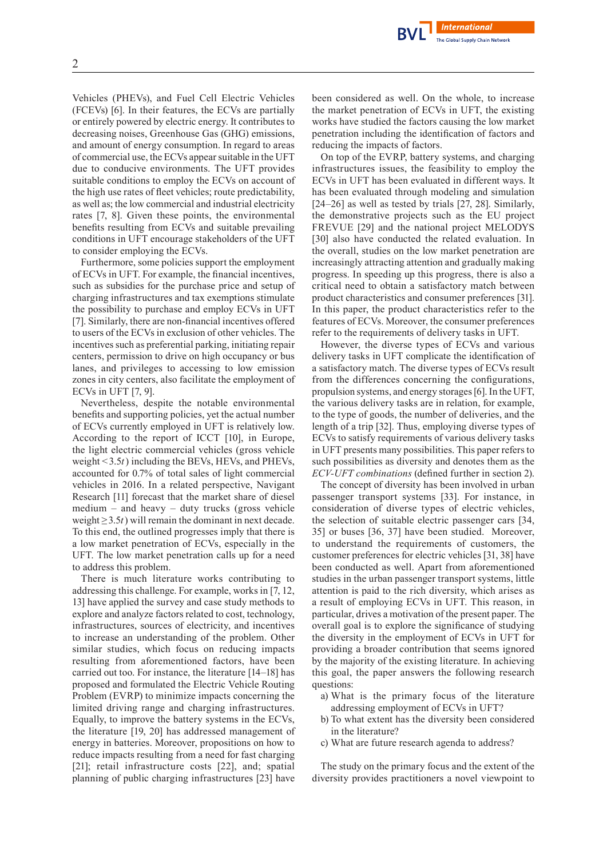Vehicles (PHEVs), and Fuel Cell Electric Vehicles (FCEVs) [6]. In their features, the ECVs are partially or entirely powered by electric energy. It contributes to decreasing noises, Greenhouse Gas (GHG) emissions, and amount of energy consumption. In regard to areas of commercial use, the ECVs appearsuitable in the UFT due to conducive environments. The UFT provides suitable conditions to employ the ECVs on account of the high use rates of fleet vehicles; route predictability, as well as; the low commercial and industrial electricity rates [7, 8]. Given these points, the environmental benefits resulting from ECVs and suitable prevailing conditions in UFT encourage stakeholders of the UFT to consider employing the ECVs.

Furthermore, some policies support the employment of ECVs in UFT. For example, the financial incentives, such as subsidies for the purchase price and setup of charging infrastructures and tax exemptions stimulate the possibility to purchase and employ ECVs in UFT [7]. Similarly, there are non-financial incentives offered to users of the ECVs in exclusion of other vehicles. The incentives such as preferential parking, initiating repair centers, permission to drive on high occupancy or bus lanes, and privileges to accessing to low emission zones in city centers, also facilitate the employment of ECVs in UFT [7, 9].

Nevertheless, despite the notable environmental benefits and supporting policies, yet the actual number of ECVs currently employed in UFT is relatively low. According to the report of ICCT [10], in Europe, the light electric commercial vehicles (gross vehicle weight <3.5*t*) including the BEVs, HEVs, and PHEVs, accounted for 0.7% of total sales of light commercial vehicles in 2016. In a related perspective, Navigant Research [11] forecast that the market share of diesel medium – and heavy – duty trucks (gross vehicle weight ≥3.5*t*) will remain the dominant in next decade. To this end, the outlined progresses imply that there is a low market penetration of ECVs, especially in the UFT. The low market penetration calls up for a need to address this problem.

There is much literature works contributing to addressing this challenge. For example, works in [7, 12, 13] have applied the survey and case study methods to explore and analyze factors related to cost, technology, infrastructures, sources of electricity, and incentives to increase an understanding of the problem. Other similar studies, which focus on reducing impacts resulting from aforementioned factors, have been carried out too. For instance, the literature [14–18] has proposed and formulated the Electric Vehicle Routing Problem (EVRP) to minimize impacts concerning the limited driving range and charging infrastructures. Equally, to improve the battery systems in the ECVs, the literature [19, 20] has addressed management of energy in batteries. Moreover, propositions on how to reduce impacts resulting from a need for fast charging [21]; retail infrastructure costs [22], and; spatial planning of public charging infrastructures [23] have been considered as well. On the whole, to increase the market penetration of ECVs in UFT, the existing works have studied the factors causing the low market penetration including the identification of factors and reducing the impacts of factors.

On top of the EVRP, battery systems, and charging infrastructures issues, the feasibility to employ the ECVs in UFT has been evaluated in different ways. It has been evaluated through modeling and simulation [24–26] as well as tested by trials [27, 28]. Similarly, the demonstrative projects such as the EU project FREVUE [29] and the national project MELODYS [30] also have conducted the related evaluation. In the overall, studies on the low market penetration are increasingly attracting attention and gradually making progress. In speeding up this progress, there is also a critical need to obtain a satisfactory match between product characteristics and consumer preferences [31]. In this paper, the product characteristics refer to the features of ECVs. Moreover, the consumer preferences refer to the requirements of delivery tasks in UFT.

However, the diverse types of ECVs and various delivery tasks in UFT complicate the identification of a satisfactory match. The diverse types of ECVs result from the differences concerning the configurations, propulsion systems, and energy storages[6].In the UFT, the various delivery tasks are in relation, for example, to the type of goods, the number of deliveries, and the length of a trip [32]. Thus, employing diverse types of ECVs to satisfy requirements of various delivery tasks in UFT presents many possibilities. This paper refers to such possibilities as diversity and denotes them as the *ECV-UFT combinations* (defined further in section 2).

The concept of diversity has been involved in urban passenger transport systems [33]. For instance, in consideration of diverse types of electric vehicles, the selection of suitable electric passenger cars [34, 35] or buses [36, 37] have been studied. Moreover, to understand the requirements of customers, the customer preferences for electric vehicles [31, 38] have been conducted as well. Apart from aforementioned studies in the urban passenger transport systems, little attention is paid to the rich diversity, which arises as a result of employing ECVs in UFT. This reason, in particular, drives a motivation of the present paper. The overall goal is to explore the significance of studying the diversity in the employment of ECVs in UFT for providing a broader contribution that seems ignored by the majority of the existing literature. In achieving this goal, the paper answers the following research questions:

- a) What is the primary focus of the literature addressing employment of ECVs in UFT?
- b) To what extent has the diversity been considered in the literature?
- c) What are future research agenda to address?

The study on the primary focus and the extent of the diversity provides practitioners a novel viewpoint to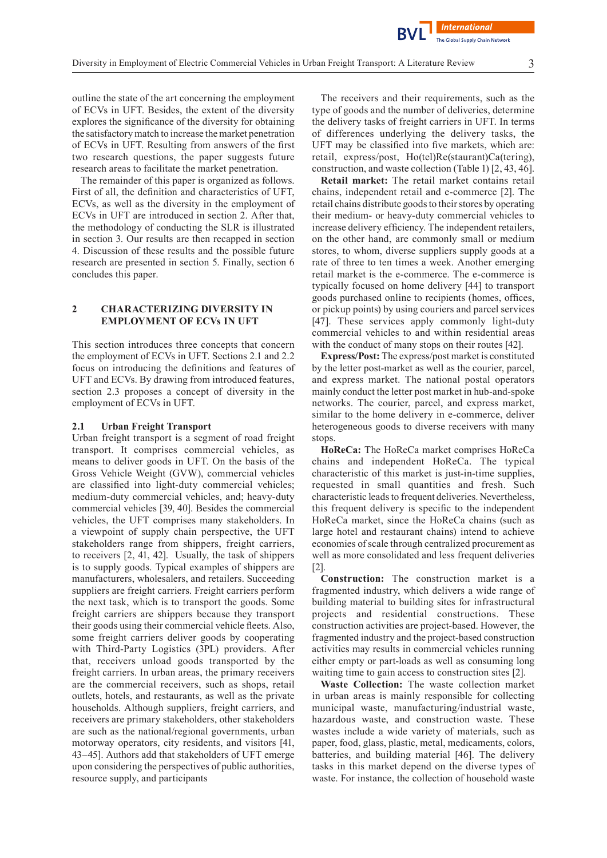outline the state of the art concerning the employment of ECVs in UFT. Besides, the extent of the diversity explores the significance of the diversity for obtaining the satisfactorymatch to increase themarket penetration of ECVs in UFT. Resulting from answers of the first two research questions, the paper suggests future research areas to facilitate the market penetration.

The remainder of this paper is organized as follows. First of all, the definition and characteristics of UFT, ECVs, as well as the diversity in the employment of ECVs in UFT are introduced in section 2. After that, the methodology of conducting the SLR is illustrated in section 3. Our results are then recapped in section 4. Discussion of these results and the possible future research are presented in section 5. Finally, section 6 concludes this paper.

## **2 CHARACTERIZING DIVERSITY IN EMPLOYMENT OF ECVs IN UFT**

This section introduces three concepts that concern the employment of ECVs in UFT. Sections 2.1 and 2.2 focus on introducing the definitions and features of UFT and ECVs. By drawing from introduced features, section 2.3 proposes a concept of diversity in the employment of ECVs in UFT.

#### **2.1 Urban Freight Transport**

Urban freight transport is a segment of road freight transport. It comprises commercial vehicles, as means to deliver goods in UFT. On the basis of the Gross Vehicle Weight (GVW), commercial vehicles are classified into light-duty commercial vehicles; medium-duty commercial vehicles, and; heavy-duty commercial vehicles [39, 40]. Besides the commercial vehicles, the UFT comprises many stakeholders. In a viewpoint of supply chain perspective, the UFT stakeholders range from shippers, freight carriers, to receivers [2, 41, 42]. Usually, the task of shippers is to supply goods. Typical examples of shippers are manufacturers, wholesalers, and retailers. Succeeding suppliers are freight carriers. Freight carriers perform the next task, which is to transport the goods. Some freight carriers are shippers because they transport their goods using their commercial vehicle fleets. Also, some freight carriers deliver goods by cooperating with Third-Party Logistics (3PL) providers. After that, receivers unload goods transported by the freight carriers. In urban areas, the primary receivers are the commercial receivers, such as shops, retail outlets, hotels, and restaurants, as well as the private households. Although suppliers, freight carriers, and receivers are primary stakeholders, other stakeholders are such as the national/regional governments, urban motorway operators, city residents, and visitors [41, 43–45]. Authors add that stakeholders of UFT emerge upon considering the perspectives of public authorities, resource supply, and participants

The receivers and their requirements, such as the type of goods and the number of deliveries, determine the delivery tasks of freight carriers in UFT. In terms of differences underlying the delivery tasks, the UFT may be classified into five markets, which are: retail, express/post, Ho(tel)Re(staurant)Ca(tering), construction, and waste collection (Table 1) [2, 43, 46].

**International Global Supply Chain Network** 

**Retail market:** The retail market contains retail chains, independent retail and e-commerce [2]. The retail chains distribute goods to their stores by operating their medium- or heavy-duty commercial vehicles to increase delivery efficiency. The independent retailers, on the other hand, are commonly small or medium stores, to whom, diverse suppliers supply goods at a rate of three to ten times a week. Another emerging retail market is the e-commerce. The e-commerce is typically focused on home delivery [44] to transport goods purchased online to recipients (homes, offices, or pickup points) by using couriers and parcel services [47]. These services apply commonly light-duty commercial vehicles to and within residential areas with the conduct of many stops on their routes [42].

**Express/Post:** The express/post market is constituted by the letter post-market as well as the courier, parcel, and express market. The national postal operators mainly conduct the letter post market in hub-and-spoke networks. The courier, parcel, and express market, similar to the home delivery in e-commerce, deliver heterogeneous goods to diverse receivers with many stops.

**HoReCa:** The HoReCa market comprises HoReCa chains and independent HoReCa. The typical characteristic of this market is just-in-time supplies, requested in small quantities and fresh. Such characteristic leads to frequent deliveries. Nevertheless, this frequent delivery is specific to the independent HoReCa market, since the HoReCa chains (such as large hotel and restaurant chains) intend to achieve economies of scale through centralized procurement as well as more consolidated and less frequent deliveries  $|2|$ .

**Construction:** The construction market is a fragmented industry, which delivers a wide range of building material to building sites for infrastructural projects and residential constructions. These construction activities are project-based. However, the fragmented industry and the project-based construction activities may results in commercial vehicles running either empty or part-loads as well as consuming long waiting time to gain access to construction sites [2].

**Waste Collection:** The waste collection market in urban areas is mainly responsible for collecting municipal waste, manufacturing/industrial waste, hazardous waste, and construction waste. These wastes include a wide variety of materials, such as paper, food, glass, plastic, metal, medicaments, colors, batteries, and building material [46]. The delivery tasks in this market depend on the diverse types of waste. For instance, the collection of household waste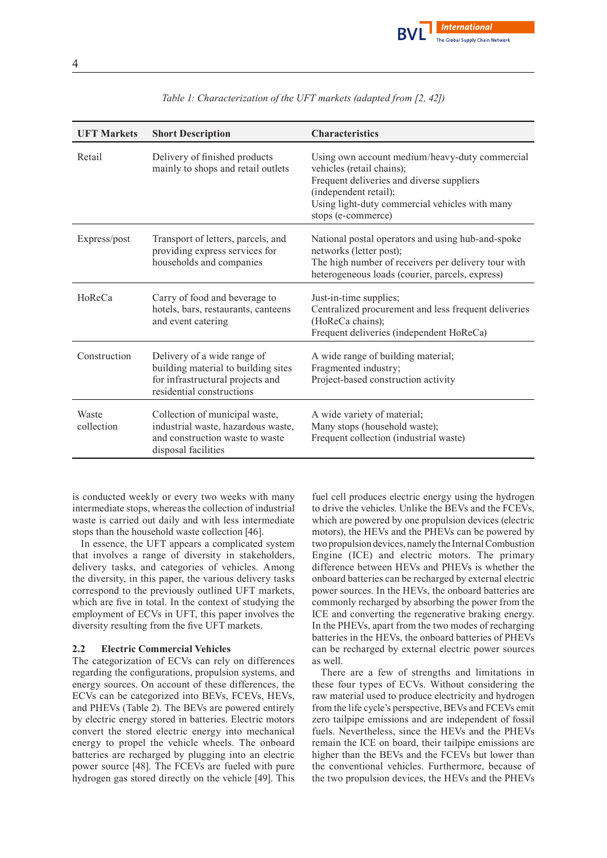

| <b>UFT Markets</b>  | <b>Short Description</b>                                                                                                            | <b>Characteristics</b>                                                                                                                                                                                                    |
|---------------------|-------------------------------------------------------------------------------------------------------------------------------------|---------------------------------------------------------------------------------------------------------------------------------------------------------------------------------------------------------------------------|
| Retail              | Delivery of finished products<br>mainly to shops and retail outlets                                                                 | Using own account medium/heavy-duty commercial<br>vehicles (retail chains);<br>Frequent deliveries and diverse suppliers<br>(independent retail);<br>Using light-duty commercial vehicles with many<br>stops (e-commerce) |
| Express/post        | Transport of letters, parcels, and<br>providing express services for<br>households and companies                                    | National postal operators and using hub-and-spoke<br>networks (letter post);<br>The high number of receivers per delivery tour with<br>heterogeneous loads (courier, parcels, express)                                    |
| HoReCa              | Carry of food and beverage to<br>hotels, bars, restaurants, canteens<br>and event catering                                          | Just-in-time supplies;<br>Centralized procurement and less frequent deliveries<br>(HoReCa chains);<br>Frequent deliveries (independent HoReCa)                                                                            |
| Construction        | Delivery of a wide range of<br>building material to building sites<br>for infrastructural projects and<br>residential constructions | A wide range of building material;<br>Fragmented industry;<br>Project-based construction activity                                                                                                                         |
| Waste<br>collection | Collection of municipal waste,<br>industrial waste, hazardous waste,<br>and construction waste to waste<br>disposal facilities      | A wide variety of material;<br>Many stops (household waste);<br>Frequent collection (industrial waste)                                                                                                                    |

*Table 1: Characterization of the UFT markets (adapted from [2, 42])*

is conducted weekly or every two weeks with many intermediate stops, whereas the collection of industrial waste is carried out daily and with less intermediate stops than the household waste collection [46].

In essence, the UFT appears a complicated system that involves a range of diversity in stakeholders, delivery tasks, and categories of vehicles. Among the diversity, in this paper, the various delivery tasks correspond to the previously outlined UFT markets, which are five in total. In the context of studying the employment of ECVs in UFT, this paper involves the diversity resulting from the five UFT markets.

#### **2.2 Electric Commercial Vehicles**

The categorization of ECVs can rely on differences regarding the configurations, propulsion systems, and energy sources. On account of these differences, the ECVs can be categorized into BEVs, FCEVs, HEVs, and PHEVs (Table 2). The BEVs are powered entirely by electric energy stored in batteries. Electric motors convert the stored electric energy into mechanical energy to propel the vehicle wheels. The onboard batteries are recharged by plugging into an electric power source [48]. The FCEVs are fueled with pure hydrogen gas stored directly on the vehicle [49]. This

fuel cell produces electric energy using the hydrogen to drive the vehicles. Unlike the BEVs and the FCEVs, which are powered by one propulsion devices (electric motors), the HEVs and the PHEVs can be powered by two propulsion devices, namely the InternalCombustion Engine (ICE) and electric motors. The primary difference between HEVs and PHEVs is whether the onboard batteries can be recharged by external electric power sources. In the HEVs, the onboard batteries are commonly recharged by absorbing the power from the ICE and converting the regenerative braking energy. In the PHEVs, apart from the two modes of recharging batteries in the HEVs, the onboard batteries of PHEVs can be recharged by external electric power sources as well.

There are a few of strengths and limitations in these four types of ECVs. Without considering the raw material used to produce electricity and hydrogen from the life cycle's perspective, BEVs and FCEVs emit zero tailpipe emissions and are independent of fossil fuels. Nevertheless, since the HEVs and the PHEVs remain the ICE on board, their tailpipe emissions are higher than the BEVs and the FCEVs but lower than the conventional vehicles. Furthermore, because of the two propulsion devices, the HEVs and the PHEVs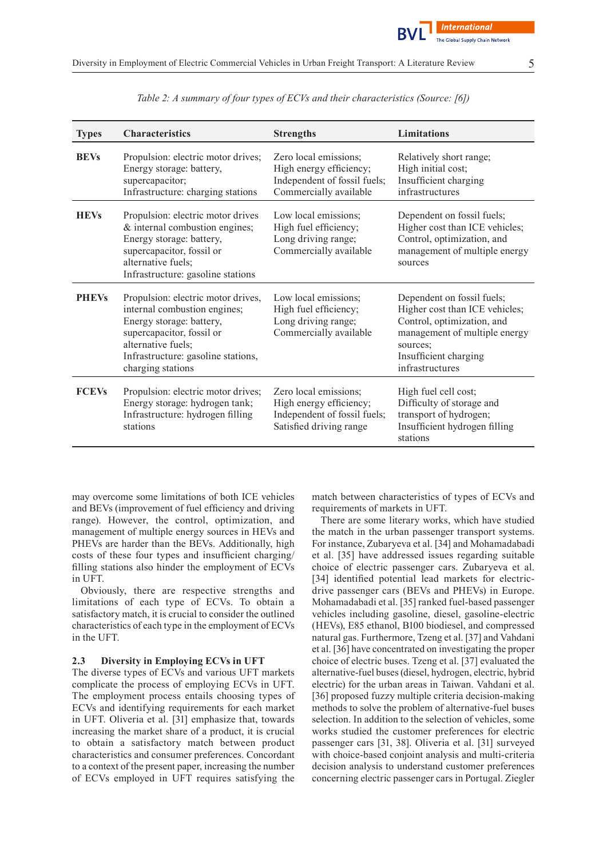| <b>Types</b> | <b>Characteristics</b>                                                                                                                                                                                       | <b>Strengths</b>                                                                                            | Limitations                                                                                                                                                                         |
|--------------|--------------------------------------------------------------------------------------------------------------------------------------------------------------------------------------------------------------|-------------------------------------------------------------------------------------------------------------|-------------------------------------------------------------------------------------------------------------------------------------------------------------------------------------|
| <b>BEVs</b>  | Propulsion: electric motor drives;<br>Energy storage: battery,<br>supercapacitor;<br>Infrastructure: charging stations                                                                                       | Zero local emissions;<br>High energy efficiency;<br>Independent of fossil fuels;<br>Commercially available  | Relatively short range;<br>High initial cost;<br>Insufficient charging<br>infrastructures                                                                                           |
| <b>HEVs</b>  | Propulsion: electric motor drives<br>& internal combustion engines;<br>Energy storage: battery,<br>supercapacitor, fossil or<br>alternative fuels;<br>Infrastructure: gasoline stations                      | Low local emissions;<br>High fuel efficiency;<br>Long driving range;<br>Commercially available              | Dependent on fossil fuels;<br>Higher cost than ICE vehicles;<br>Control, optimization, and<br>management of multiple energy<br>sources                                              |
| <b>PHEVs</b> | Propulsion: electric motor drives,<br>internal combustion engines;<br>Energy storage: battery,<br>supercapacitor, fossil or<br>alternative fuels;<br>Infrastructure: gasoline stations,<br>charging stations | Low local emissions;<br>High fuel efficiency;<br>Long driving range;<br>Commercially available              | Dependent on fossil fuels;<br>Higher cost than ICE vehicles;<br>Control, optimization, and<br>management of multiple energy<br>sources;<br>Insufficient charging<br>infrastructures |
| <b>FCEVs</b> | Propulsion: electric motor drives;<br>Energy storage: hydrogen tank;<br>Infrastructure: hydrogen filling<br>stations                                                                                         | Zero local emissions;<br>High energy efficiency;<br>Independent of fossil fuels;<br>Satisfied driving range | High fuel cell cost;<br>Difficulty of storage and<br>transport of hydrogen;<br>Insufficient hydrogen filling<br>stations                                                            |

*Table 2: A summary of four types of ECVs and their characteristics (Source: [6])*

may overcome some limitations of both ICE vehicles and BEVs (improvement of fuel efficiency and driving range). However, the control, optimization, and management of multiple energy sources in HEVs and PHEVs are harder than the BEVs. Additionally, high costs of these four types and insufficient charging/ filling stations also hinder the employment of ECVs in UFT.

Obviously, there are respective strengths and limitations of each type of ECVs. To obtain a satisfactory match, it is crucial to consider the outlined characteristics of each type in the employment of ECVs in the UFT.

#### **2.3 Diversity in Employing ECVs in UFT**

The diverse types of ECVs and various UFT markets complicate the process of employing ECVs in UFT. The employment process entails choosing types of ECVs and identifying requirements for each market in UFT. Oliveria et al. [31] emphasize that, towards increasing the market share of a product, it is crucial to obtain a satisfactory match between product characteristics and consumer preferences. Concordant to a context of the present paper, increasing the number of ECVs employed in UFT requires satisfying the

match between characteristics of types of ECVs and requirements of markets in UFT.

There are some literary works, which have studied the match in the urban passenger transport systems. For instance, Zubaryeva et al. [34] and Mohamadabadi et al. [35] have addressed issues regarding suitable choice of electric passenger cars. Zubaryeva et al. [34] identified potential lead markets for electricdrive passenger cars (BEVs and PHEVs) in Europe. Mohamadabadi et al. [35] ranked fuel-based passenger vehicles including gasoline, diesel, gasoline-electric (HEVs), E85 ethanol, B100 biodiesel, and compressed natural gas. Furthermore, Tzeng et al. [37] and Vahdani et al. [36] have concentrated on investigating the proper choice of electric buses. Tzeng et al. [37] evaluated the alternative-fuel buses(diesel, hydrogen, electric, hybrid electric) for the urban areas in Taiwan. Vahdani et al. [36] proposed fuzzy multiple criteria decision-making methods to solve the problem of alternative-fuel buses selection. In addition to the selection of vehicles, some works studied the customer preferences for electric passenger cars [31, 38]. Oliveria et al. [31] surveyed with choice-based conjoint analysis and multi-criteria decision analysis to understand customer preferences concerning electric passenger cars in Portugal. Ziegler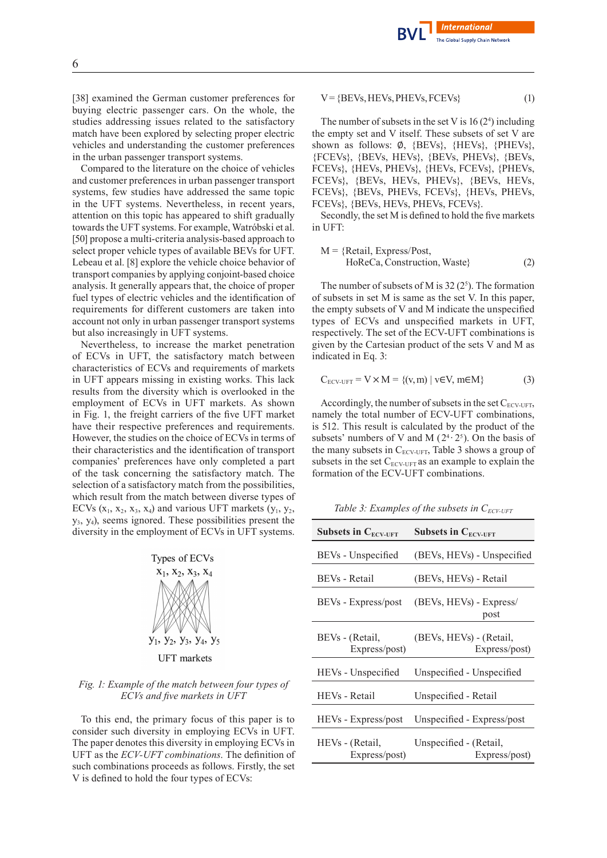[38] examined the German customer preferences for buying electric passenger cars. On the whole, the studies addressing issues related to the satisfactory match have been explored by selecting proper electric vehicles and understanding the customer preferences in the urban passenger transport systems.

Compared to the literature on the choice of vehicles and customer preferences in urban passenger transport systems, few studies have addressed the same topic in the UFT systems. Nevertheless, in recent years, attention on this topic has appeared to shift gradually towards the UFT systems. For example, Watróbski et al. [50] propose a multi-criteria analysis-based approach to select proper vehicle types of available BEVs for UFT. Lebeau et al. [8] explore the vehicle choice behavior of transport companies by applying conjoint-based choice analysis. It generally appears that, the choice of proper fuel types of electric vehicles and the identification of requirements for different customers are taken into account not only in urban passenger transport systems but also increasingly in UFT systems.

Nevertheless, to increase the market penetration of ECVs in UFT, the satisfactory match between characteristics of ECVs and requirements of markets in UFT appears missing in existing works. This lack results from the diversity which is overlooked in the employment of ECVs in UFT markets. As shown in Fig. 1, the freight carriers of the five UFT market have their respective preferences and requirements. However, the studies on the choice of ECVs in terms of their characteristics and the identification of transport companies' preferences have only completed a part of the task concerning the satisfactory match. The selection of a satisfactory match from the possibilities, which result from the match between diverse types of ECVs  $(x_1, x_2, x_3, x_4)$  and various UFT markets  $(y_1, y_2, x_3, x_4)$  $y_3, y_4$ ), seems ignored. These possibilities present the diversity in the employment of ECVs in UFT systems.



**UFT** markets

#### *Fig. 1: Example of the match between four types of ECVs and five markets in UFT*

To this end, the primary focus of this paper is to consider such diversity in employing ECVs in UFT. The paper denotes this diversity in employing ECVs in UFT as the *ECV-UFT combinations*. The definition of such combinations proceeds as follows. Firstly, the set V is defined to hold the four types of ECVs:

#### $V = {BEVs, HEVs, PHEVs, FCEVs}$  (1)

**Internationa**l e Global Supply Chain Network

The number of subsets in the set V is  $16(2^4)$  including the empty set and V itself. These subsets of set V are shown as follows: ∅, {BEVs}, {HEVs}, {PHEVs}, {FCEVs}, {BEVs, HEVs}, {BEVs, PHEVs}, {BEVs, FCEVs}, {HEVs, PHEVs}, {HEVs, FCEVs}, {PHEVs, FCEVs}, {BEVs, HEVs, PHEVs}, {BEVs, HEVs, FCEVs}, {BEVs, PHEVs, FCEVs}, {HEVs, PHEVs, FCEVs}, {BEVs, HEVs, PHEVs, FCEVs}.

Secondly, the set M is defined to hold the five markets in UFT:

$$
M = {Retail, Express / Post,HoReCa, Construction, Waste}
$$
 (2)

The number of subsets of M is  $32(2^5)$ . The formation of subsets in set M is same as the set V. In this paper, the empty subsets of V and M indicate the unspecified types of ECVs and unspecified markets in UFT, respectively. The set of the ECV-UFT combinations is given by the Cartesian product of the sets V and M as indicated in Eq. 3:

$$
C_{\text{ECV-UFF}} = V \times M = \{(v, m) \mid v \in V, m \in M\}
$$
 (3)

Accordingly, the number of subsets in the set  $C_{\text{ECV-UFF}}$ , namely the total number of ECV-UFT combinations, is 512. This result is calculated by the product of the subsets' numbers of V and M  $(2^4 \tcdot 2^5)$ . On the basis of the many subsets in  $C_{ECV-UFF}$ , Table 3 shows a group of subsets in the set  $C_{ECV-UFF}$  as an example to explain the formation of the ECV-UFT combinations.

*Table 3: Examples of the subsets in CECV-UFT*

| Subsets in $C_{ECV-UFT}$         | Subsets in $C_{ECV-UFT}$                 |
|----------------------------------|------------------------------------------|
| BEVs - Unspecified               | (BEVs, HEVs) - Unspecified               |
| BEVs - Retail                    | (BEVs, HEVs) - Retail                    |
| BEVs - Express/post              | (BEVs, HEVs) - Express/<br>post          |
| BEVs - (Retail,<br>Express/post) | (BEVs, HEVs) - (Retail,<br>Express/post) |
| HEV <sub>s</sub> - Unspecified   | Unspecified - Unspecified                |
| HEVs - Retail                    | Unspecified - Retail                     |
| HEVs - Express/post              | Unspecified - Express/post               |
| HEVs - (Retail,<br>Express/post) | Unspecified - (Retail,<br>Express/post)  |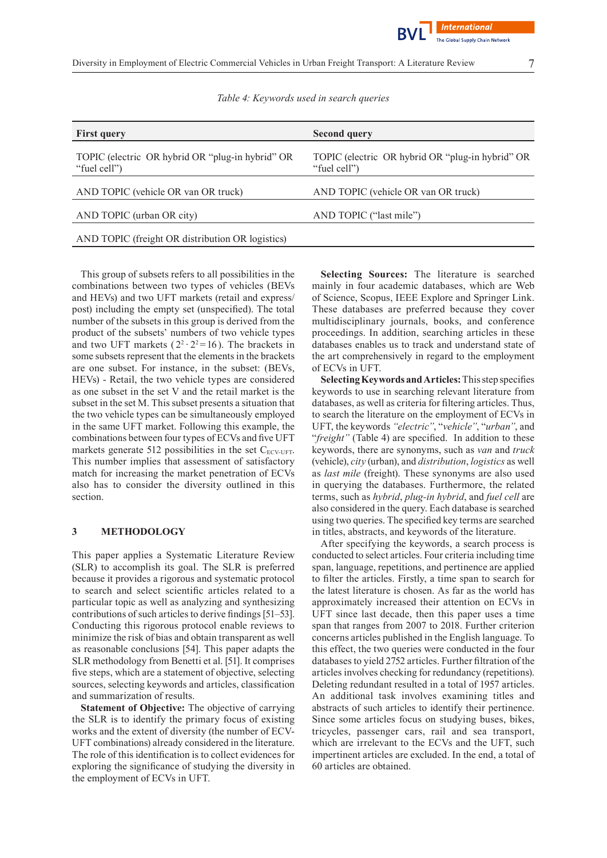

*Table 4: Keywords used in search queries*

| <b>First query</b>                                               | <b>Second query</b>                                              |
|------------------------------------------------------------------|------------------------------------------------------------------|
| TOPIC (electric OR hybrid OR "plug-in hybrid" OR<br>"fuel cell") | TOPIC (electric OR hybrid OR "plug-in hybrid" OR<br>"fuel cell") |
| AND TOPIC (vehicle OR van OR truck)                              | AND TOPIC (vehicle OR van OR truck)                              |
| AND TOPIC (urban OR city)                                        | AND TOPIC ("last mile")                                          |
| AND TOPIC (freight OR distribution OR logistics)                 |                                                                  |
|                                                                  |                                                                  |

This group of subsets refers to all possibilities in the combinations between two types of vehicles (BEVs and HEVs) and two UFT markets (retail and express/ post) including the empty set (unspecified). The total number of the subsets in this group is derived from the product of the subsets' numbers of two vehicle types and two UFT markets  $(2^2 \cdot 2^2 = 16)$ . The brackets in some subsets represent that the elements in the brackets are one subset. For instance, in the subset: (BEVs, HEVs) - Retail, the two vehicle types are considered as one subset in the set V and the retail market is the subset in the set M. This subset presents a situation that the two vehicle types can be simultaneously employed in the same UFT market. Following this example, the combinations between four types of ECVs and five UFT markets generate 512 possibilities in the set  $C_{ECV-UFT}$ . This number implies that assessment of satisfactory match for increasing the market penetration of ECVs also has to consider the diversity outlined in this section.

## **3 METHODOLOGY**

This paper applies a Systematic Literature Review (SLR) to accomplish its goal. The SLR is preferred because it provides a rigorous and systematic protocol to search and select scientific articles related to a particular topic as well as analyzing and synthesizing contributions of such articles to derive findings [51–53]. Conducting this rigorous protocol enable reviews to minimize the risk of bias and obtain transparent as well as reasonable conclusions [54]. This paper adapts the SLR methodology from Benetti et al. [51]. It comprises five steps, which are a statement of objective, selecting sources, selecting keywords and articles, classification and summarization of results.

**Statement of Objective:** The objective of carrying the SLR is to identify the primary focus of existing works and the extent of diversity (the number of ECV-UFT combinations) already considered in the literature. The role of this identification is to collect evidences for exploring the significance of studying the diversity in the employment of ECVs in UFT.

**Selecting Sources:** The literature is searched mainly in four academic databases, which are Web of Science, Scopus, IEEE Explore and Springer Link. These databases are preferred because they cover multidisciplinary journals, books, and conference proceedings. In addition, searching articles in these databases enables us to track and understand state of the art comprehensively in regard to the employment of ECVs in UFT.

**SelectingKeywords andArticles:**Thisstep specifies keywords to use in searching relevant literature from databases, as well as criteria for filtering articles. Thus, to search the literature on the employment of ECVs in UFT, the keywords*"electric"*, "*vehicle"*, "*urban"*, and "freight" (Table 4) are specified. In addition to these keywords, there are synonyms, such as *van* and *truck* (vehicle), *city* (urban), and *distribution*, *logistics* as well as *last mile* (freight). These synonyms are also used in querying the databases. Furthermore, the related terms, such as *hybrid*, *plug-in hybrid*, and *fuel cell* are also considered in the query. Each database is searched using two queries. The specified key terms are searched in titles, abstracts, and keywords of the literature.

After specifying the keywords, a search process is conducted to select articles. Four criteria including time span, language, repetitions, and pertinence are applied to filter the articles. Firstly, a time span to search for the latest literature is chosen. As far as the world has approximately increased their attention on ECVs in UFT since last decade, then this paper uses a time span that ranges from 2007 to 2018. Further criterion concerns articles published in the English language. To this effect, the two queries were conducted in the four databases to yield 2752 articles. Further filtration of the articles involves checking for redundancy (repetitions). Deleting redundant resulted in a total of 1957 articles. An additional task involves examining titles and abstracts of such articles to identify their pertinence. Since some articles focus on studying buses, bikes, tricycles, passenger cars, rail and sea transport, which are irrelevant to the ECVs and the UFT, such impertinent articles are excluded. In the end, a total of 60 articles are obtained.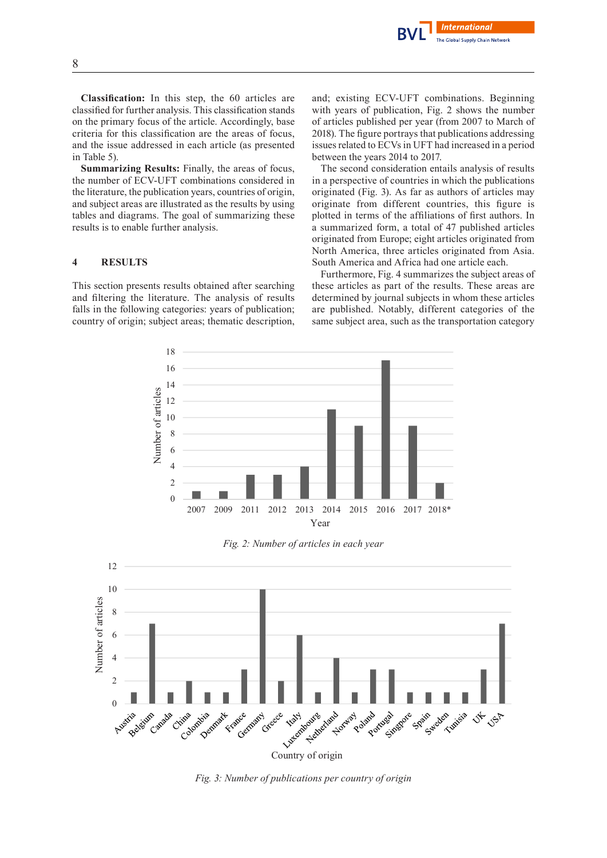

**Classification:** In this step, the 60 articles are classified for further analysis. This classification stands on the primary focus of the article. Accordingly, base criteria for this classification are the areas of focus, and the issue addressed in each article (as presented in Table 5).

**Summarizing Results:** Finally, the areas of focus, the number of ECV-UFT combinations considered in the literature, the publication years, countries of origin, and subject areas are illustrated as the results by using tables and diagrams. The goal of summarizing these results is to enable further analysis.

## **4 RESULTS**

This section presents results obtained after searching and filtering the literature. The analysis of results falls in the following categories: years of publication; country of origin; subject areas; thematic description, and; existing ECV-UFT combinations. Beginning with years of publication, Fig. 2 shows the number of articles published per year (from 2007 to March of 2018). The figure portrays that publications addressing issues related to ECVs in UFT had increased in a period between the years 2014 to 2017.

The second consideration entails analysis of results in a perspective of countries in which the publications originated (Fig. 3). As far as authors of articles may originate from different countries, this figure is plotted in terms of the affiliations of first authors. In a summarized form, a total of 47 published articles originated from Europe; eight articles originated from North America, three articles originated from Asia. South America and Africa had one article each.

Furthermore, Fig. 4 summarizes the subject areas of these articles as part of the results. These areas are determined by journal subjects in whom these articles are published. Notably, different categories of the same subject area, such as the transportation category



*Fig. 2: Number of articles in each year*



*Fig. 3: Number of publications per country of origin*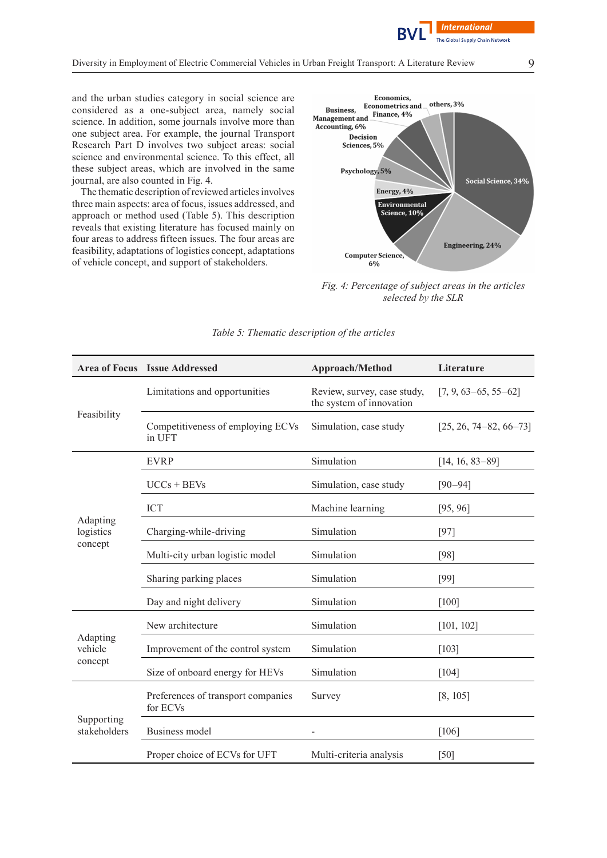

and the urban studies category in social science are considered as a one-subject area, namely social science. In addition, some journals involve more than one subject area. For example, the journal Transport Research Part D involves two subject areas: social science and environmental science. To this effect, all these subject areas, which are involved in the same journal, are also counted in Fig. 4.

The thematic description of reviewed articles involves three main aspects: area of focus, issues addressed, and approach or method used (Table 5). This description reveals that existing literature has focused mainly on four areas to address fifteen issues. The four areas are feasibility, adaptations of logistics concept, adaptations of vehicle concept, and support of stakeholders.



*Fig. 4: Percentage of subject areas in the articles selected by the SLR*

|                                  | <b>Area of Focus Issue Addressed</b>           | Approach/Method                                         | Literature                 |
|----------------------------------|------------------------------------------------|---------------------------------------------------------|----------------------------|
| Feasibility                      | Limitations and opportunities                  | Review, survey, case study,<br>the system of innovation | $[7, 9, 63 - 65, 55 - 62]$ |
|                                  | Competitiveness of employing ECVs<br>in UFT    | Simulation, case study                                  | $[25, 26, 74-82, 66-73]$   |
|                                  | <b>EVRP</b>                                    | Simulation                                              | $[14, 16, 83-89]$          |
|                                  | $UCCs + BEVs$                                  | Simulation, case study                                  | $[90 - 94]$                |
| Adapting<br>logistics<br>concept | <b>ICT</b>                                     | Machine learning                                        | [95, 96]                   |
|                                  | Charging-while-driving                         | Simulation                                              | [97]                       |
|                                  | Multi-city urban logistic model                | Simulation                                              | $[98]$                     |
|                                  | Sharing parking places                         | Simulation                                              | [99]                       |
|                                  | Day and night delivery                         | Simulation                                              | $[100]$                    |
|                                  | New architecture                               | Simulation                                              | [101, 102]                 |
| Adapting<br>vehicle<br>concept   | Improvement of the control system              | Simulation                                              | [103]                      |
|                                  | Size of onboard energy for HEVs                | Simulation                                              | [104]                      |
| Supporting<br>stakeholders       | Preferences of transport companies<br>for ECVs | Survey                                                  | [8, 105]                   |
|                                  | Business model                                 |                                                         | [106]                      |
|                                  | Proper choice of ECVs for UFT                  | Multi-criteria analysis                                 | [50]                       |

#### *Table 5: Thematic description of the articles*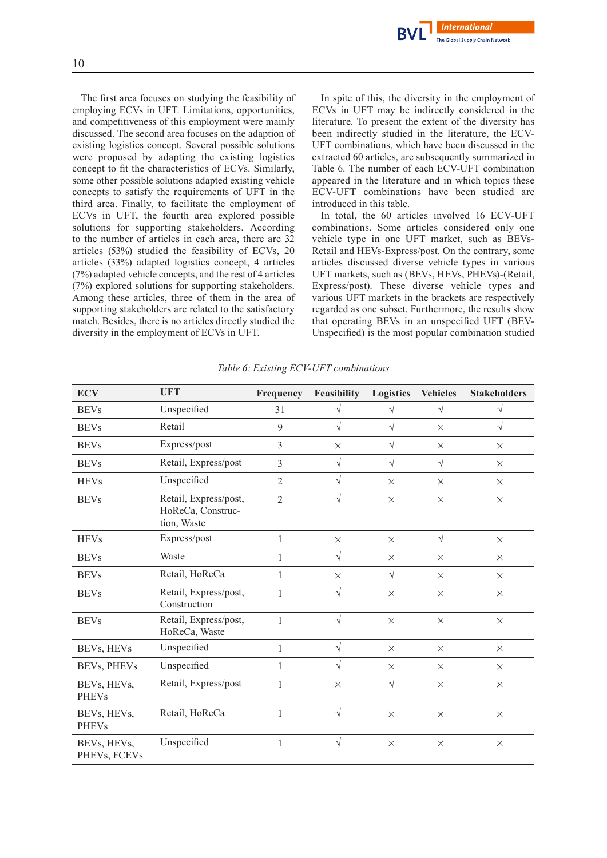

The first area focuses on studying the feasibility of employing ECVs in UFT. Limitations, opportunities, and competitiveness of this employment were mainly discussed. The second area focuses on the adaption of existing logistics concept. Several possible solutions were proposed by adapting the existing logistics concept to fit the characteristics of ECVs. Similarly, some other possible solutions adapted existing vehicle concepts to satisfy the requirements of UFT in the third area. Finally, to facilitate the employment of ECVs in UFT, the fourth area explored possible solutions for supporting stakeholders. According to the number of articles in each area, there are 32 articles (53%) studied the feasibility of ECVs, 20 articles (33%) adapted logistics concept, 4 articles (7%) adapted vehicle concepts, and the rest of 4 articles (7%) explored solutions for supporting stakeholders. Among these articles, three of them in the area of supporting stakeholders are related to the satisfactory match. Besides, there is no articles directly studied the diversity in the employment of ECVs in UFT.

In spite of this, the diversity in the employment of ECVs in UFT may be indirectly considered in the literature. To present the extent of the diversity has been indirectly studied in the literature, the ECV-UFT combinations, which have been discussed in the extracted 60 articles, are subsequently summarized in Table 6. The number of each ECV-UFT combination appeared in the literature and in which topics these ECV-UFT combinations have been studied are introduced in this table.

In total, the 60 articles involved 16 ECV-UFT combinations. Some articles considered only one vehicle type in one UFT market, such as BEVs-Retail and HEVs-Express/post. On the contrary, some articles discussed diverse vehicle types in various UFT markets, such as (BEVs, HEVs, PHEVs)-(Retail, Express/post). These diverse vehicle types and various UFT markets in the brackets are respectively regarded as one subset. Furthermore, the results show that operating BEVs in an unspecified UFT (BEV-Unspecified) is the most popular combination studied

| <b>ECV</b>                  | <b>UFT</b>                                                | Frequency      | Feasibility | Logistics | <b>Vehicles</b> | <b>Stakeholders</b> |
|-----------------------------|-----------------------------------------------------------|----------------|-------------|-----------|-----------------|---------------------|
| <b>BEVs</b>                 | Unspecified                                               | 31             | V           | V         | $\sqrt{}$       | V                   |
| <b>BEVs</b>                 | Retail                                                    | 9              | $\sqrt{}$   | $\sqrt{}$ | $\times$        | $\sqrt{}$           |
| <b>BEVs</b>                 | Express/post                                              | $\overline{3}$ | $\times$    | $\sqrt{}$ | $\times$        | $\times$            |
| <b>BEVs</b>                 | Retail, Express/post                                      | $\overline{3}$ | $\sqrt{}$   | $\sqrt{}$ | $\sqrt{}$       | $\times$            |
| <b>HEVs</b>                 | Unspecified                                               | $\overline{2}$ | $\sqrt{}$   | $\times$  | $\times$        | $\times$            |
| <b>BEVs</b>                 | Retail, Express/post,<br>HoReCa, Construc-<br>tion, Waste | $\overline{2}$ | $\sqrt{}$   | $\times$  | $\times$        | $\times$            |
| <b>HEVs</b>                 | Express/post                                              | 1              | $\times$    | $\times$  | $\sqrt{ }$      | $\times$            |
| <b>BEVs</b>                 | Waste                                                     | 1              | $\sqrt{}$   | $\times$  | $\times$        | $\times$            |
| <b>BEVs</b>                 | Retail, HoReCa                                            | $\mathbf{1}$   | $\times$    | $\sqrt{}$ | $\times$        | $\times$            |
| <b>BEVs</b>                 | Retail, Express/post,<br>Construction                     | 1              | $\sqrt{}$   | $\times$  | $\times$        | $\times$            |
| <b>BEVs</b>                 | Retail, Express/post,<br>HoReCa, Waste                    | $\mathbf{1}$   | $\sqrt{}$   | $\times$  | $\times$        | $\times$            |
| BEVs, HEVs                  | Unspecified                                               | $\mathbf{1}$   | $\sqrt{ }$  | $\times$  | $\times$        | $\times$            |
| BEVs, PHEVs                 | Unspecified                                               | 1              | $\sqrt{}$   | $\times$  | $\times$        | $\times$            |
| BEVs, HEVs,<br><b>PHEVs</b> | Retail, Express/post                                      | 1              | $\times$    | $\sqrt{}$ | $\times$        | $\times$            |
| BEVs, HEVs,<br><b>PHEVs</b> | Retail, HoReCa                                            | $\mathbf{1}$   | $\sqrt{ }$  | $\times$  | $\times$        | $\times$            |
| BEVs, HEVs,<br>PHEVs, FCEVs | Unspecified                                               | 1              | $\sqrt{}$   | $\times$  | $\times$        | $\times$            |

*Table 6: Existing ECV-UFT combinations*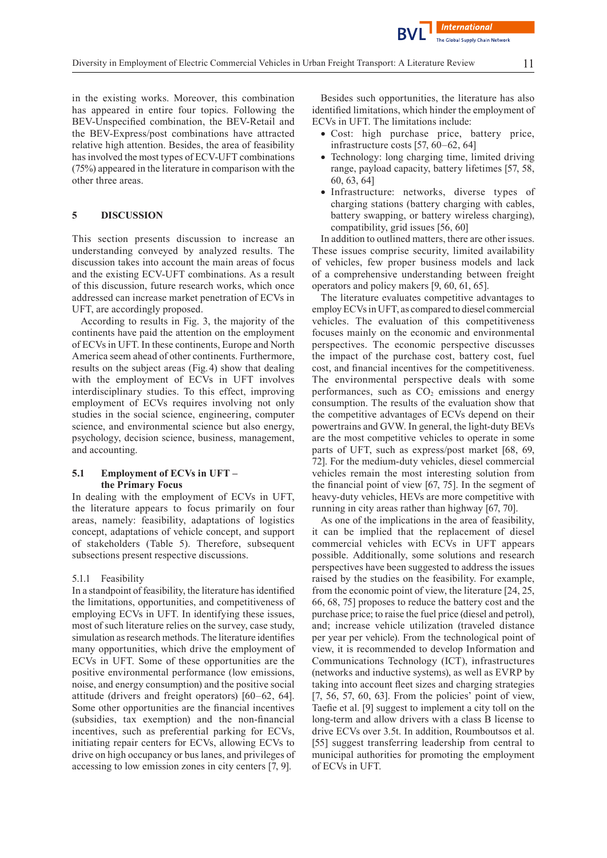in the existing works. Moreover, this combination has appeared in entire four topics. Following the BEV-Unspecified combination, the BEV-Retail and the BEV-Express/post combinations have attracted relative high attention. Besides, the area of feasibility has involved the most types of ECV-UFT combinations (75%) appeared in the literature in comparison with the other three areas.

#### **5 DISCUSSION**

This section presents discussion to increase an understanding conveyed by analyzed results. The discussion takes into account the main areas of focus and the existing ECV-UFT combinations. As a result of this discussion, future research works, which once addressed can increase market penetration of ECVs in UFT, are accordingly proposed.

According to results in Fig. 3, the majority of the continents have paid the attention on the employment of ECVs in UFT. In these continents, Europe and North America seem ahead of other continents. Furthermore, results on the subject areas (Fig.4) show that dealing with the employment of ECVs in UFT involves interdisciplinary studies. To this effect, improving employment of ECVs requires involving not only studies in the social science, engineering, computer science, and environmental science but also energy, psychology, decision science, business, management, and accounting.

#### **5.1 Employment of ECVs in UFT – the Primary Focus**

In dealing with the employment of ECVs in UFT, the literature appears to focus primarily on four areas, namely: feasibility, adaptations of logistics concept, adaptations of vehicle concept, and support of stakeholders (Table 5). Therefore, subsequent subsections present respective discussions.

#### 5.1.1 Feasibility

In a standpoint of feasibility, the literature hasidentified the limitations, opportunities, and competitiveness of employing ECVs in UFT. In identifying these issues, most of such literature relies on the survey, case study, simulation as research methods. The literature identifies many opportunities, which drive the employment of ECVs in UFT. Some of these opportunities are the positive environmental performance (low emissions, noise, and energy consumption) and the positive social attitude (drivers and freight operators) [60–62, 64]. Some other opportunities are the financial incentives (subsidies, tax exemption) and the non-financial incentives, such as preferential parking for ECVs, initiating repair centers for ECVs, allowing ECVs to drive on high occupancy or bus lanes, and privileges of accessing to low emission zones in city centers [7, 9].

Besides such opportunities, the literature has also identified limitations, which hinder the employment of ECVs in UFT. The limitations include:

- Cost: high purchase price, battery price, infrastructure costs [57, 60–62, 64]
- Technology: long charging time, limited driving range, payload capacity, battery lifetimes [57, 58, 60, 63, 64]
- Infrastructure: networks, diverse types of charging stations (battery charging with cables, battery swapping, or battery wireless charging), compatibility, grid issues [56, 60]

In addition to outlined matters, there are other issues. These issues comprise security, limited availability of vehicles, few proper business models and lack of a comprehensive understanding between freight operators and policy makers [9, 60, 61, 65].

The literature evaluates competitive advantages to employ ECVsin UFT, as compared to diesel commercial vehicles. The evaluation of this competitiveness focuses mainly on the economic and environmental perspectives. The economic perspective discusses the impact of the purchase cost, battery cost, fuel cost, and financial incentives for the competitiveness. The environmental perspective deals with some performances, such as  $CO<sub>2</sub>$  emissions and energy consumption. The results of the evaluation show that the competitive advantages of ECVs depend on their powertrains and GVW. In general, the light-duty BEVs are the most competitive vehicles to operate in some parts of UFT, such as express/post market [68, 69, 72]. For the medium-duty vehicles, diesel commercial vehicles remain the most interesting solution from the financial point of view [67, 75]. In the segment of heavy-duty vehicles, HEVs are more competitive with running in city areas rather than highway [67, 70].

As one of the implications in the area of feasibility, it can be implied that the replacement of diesel commercial vehicles with ECVs in UFT appears possible. Additionally, some solutions and research perspectives have been suggested to address the issues raised by the studies on the feasibility. For example, from the economic point of view, the literature [24, 25, 66, 68, 75] proposes to reduce the battery cost and the purchase price; to raise the fuel price (diesel and petrol), and; increase vehicle utilization (traveled distance per year per vehicle). From the technological point of view, it is recommended to develop Information and Communications Technology (ICT), infrastructures (networks and inductive systems), as well as EVRP by taking into account fleet sizes and charging strategies [7, 56, 57, 60, 63]. From the policies' point of view, Taefie et al. [9] suggest to implement a city toll on the long-term and allow drivers with a class B license to drive ECVs over 3.5t. In addition, Roumboutsos et al. [55] suggest transferring leadership from central to municipal authorities for promoting the employment of ECVs in UFT.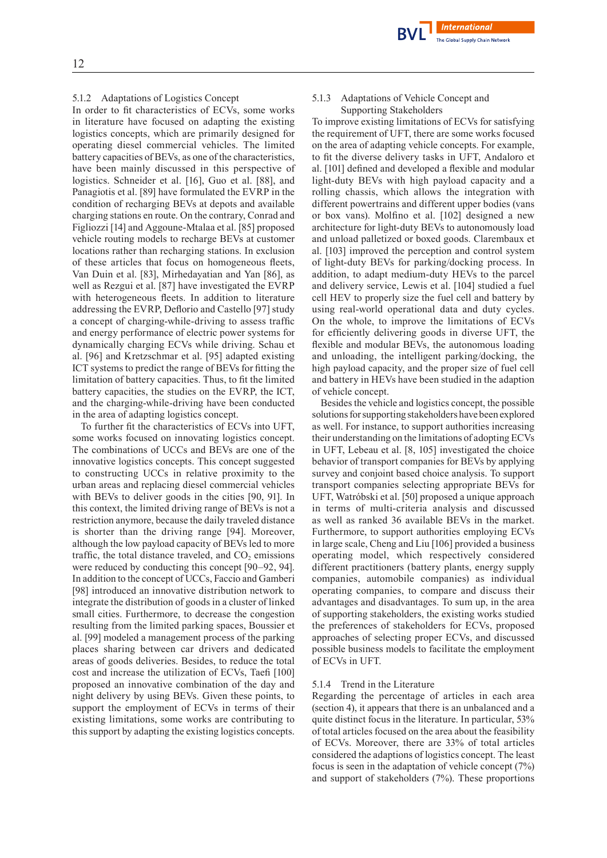#### 5.1.2 Adaptations of Logistics Concept

In order to fit characteristics of ECVs, some works in literature have focused on adapting the existing logistics concepts, which are primarily designed for operating diesel commercial vehicles. The limited battery capacities of BEVs, as one of the characteristics, have been mainly discussed in this perspective of logistics. Schneider et al. [16], Guo et al. [88], and Panagiotis et al. [89] have formulated the EVRP in the condition of recharging BEVs at depots and available charging stations en route. On the contrary, Conrad and Figliozzi [14] and Aggoune-Mtalaa et al. [85] proposed vehicle routing models to recharge BEVs at customer locations rather than recharging stations. In exclusion of these articles that focus on homogeneous fleets, Van Duin et al. [83], Mirhedayatian and Yan [86], as well as Rezgui et al. [87] have investigated the EVRP with heterogeneous fleets. In addition to literature addressing the EVRP, Deflorio and Castello [97] study a concept of charging-while-driving to assess traffic and energy performance of electric power systems for dynamically charging ECVs while driving. Schau et al. [96] and Kretzschmar et al. [95] adapted existing ICT systems to predict the range of BEVs for fitting the limitation of battery capacities. Thus, to fit the limited battery capacities, the studies on the EVRP, the ICT, and the charging-while-driving have been conducted in the area of adapting logistics concept.

To further fit the characteristics of ECVs into UFT, some works focused on innovating logistics concept. The combinations of UCCs and BEVs are one of the innovative logistics concepts. This concept suggested to constructing UCCs in relative proximity to the urban areas and replacing diesel commercial vehicles with BEVs to deliver goods in the cities [90, 91]. In this context, the limited driving range of BEVs is not a restriction anymore, because the daily traveled distance is shorter than the driving range [94]. Moreover, although the low payload capacity of BEVs led to more traffic, the total distance traveled, and  $CO<sub>2</sub>$  emissions were reduced by conducting this concept [90–92, 94]. In addition to the concept of UCCs, Faccio and Gamberi [98] introduced an innovative distribution network to integrate the distribution of goods in a cluster of linked small cities. Furthermore, to decrease the congestion resulting from the limited parking spaces, Boussier et al. [99] modeled a management process of the parking places sharing between car drivers and dedicated areas of goods deliveries. Besides, to reduce the total cost and increase the utilization of ECVs, Taefi [100] proposed an innovative combination of the day and night delivery by using BEVs. Given these points, to support the employment of ECVs in terms of their existing limitations, some works are contributing to this support by adapting the existing logistics concepts.

#### 5.1.3 Adaptations of Vehicle Concept and Supporting Stakeholders

To improve existing limitations of ECVs for satisfying the requirement of UFT, there are some works focused on the area of adapting vehicle concepts. For example, to fit the diverse delivery tasks in UFT, Andaloro et al. [101] defined and developed a flexible and modular light-duty BEVs with high payload capacity and a rolling chassis, which allows the integration with different powertrains and different upper bodies (vans or box vans). Molfino et al. [102] designed a new architecture for light-duty BEVs to autonomously load and unload palletized or boxed goods. Clarembaux et al. [103] improved the perception and control system of light-duty BEVs for parking/docking process. In addition, to adapt medium-duty HEVs to the parcel and delivery service, Lewis et al. [104] studied a fuel cell HEV to properly size the fuel cell and battery by using real-world operational data and duty cycles. On the whole, to improve the limitations of ECVs for efficiently delivering goods in diverse UFT, the flexible and modular BEVs, the autonomous loading and unloading, the intelligent parking/docking, the high payload capacity, and the proper size of fuel cell and battery in HEVs have been studied in the adaption of vehicle concept.

Besides the vehicle and logistics concept, the possible solutions for supporting stakeholders have been explored as well. For instance, to support authorities increasing their understanding on the limitations of adopting ECVs in UFT, Lebeau et al. [8, 105] investigated the choice behavior of transport companies for BEVs by applying survey and conjoint based choice analysis. To support transport companies selecting appropriate BEVs for UFT, Watróbski et al. [50] proposed a unique approach in terms of multi-criteria analysis and discussed as well as ranked 36 available BEVs in the market. Furthermore, to support authorities employing ECVs in large scale, Cheng and Liu [106] provided a business operating model, which respectively considered different practitioners (battery plants, energy supply companies, automobile companies) as individual operating companies, to compare and discuss their advantages and disadvantages. To sum up, in the area of supporting stakeholders, the existing works studied the preferences of stakeholders for ECVs, proposed approaches of selecting proper ECVs, and discussed possible business models to facilitate the employment of ECVs in UFT.

#### 5.1.4 Trend in the Literature

Regarding the percentage of articles in each area (section 4), it appears that there is an unbalanced and a quite distinct focus in the literature. In particular, 53% of total articles focused on the area about the feasibility of ECVs. Moreover, there are 33% of total articles considered the adaptions of logistics concept. The least focus is seen in the adaptation of vehicle concept (7%) and support of stakeholders (7%). These proportions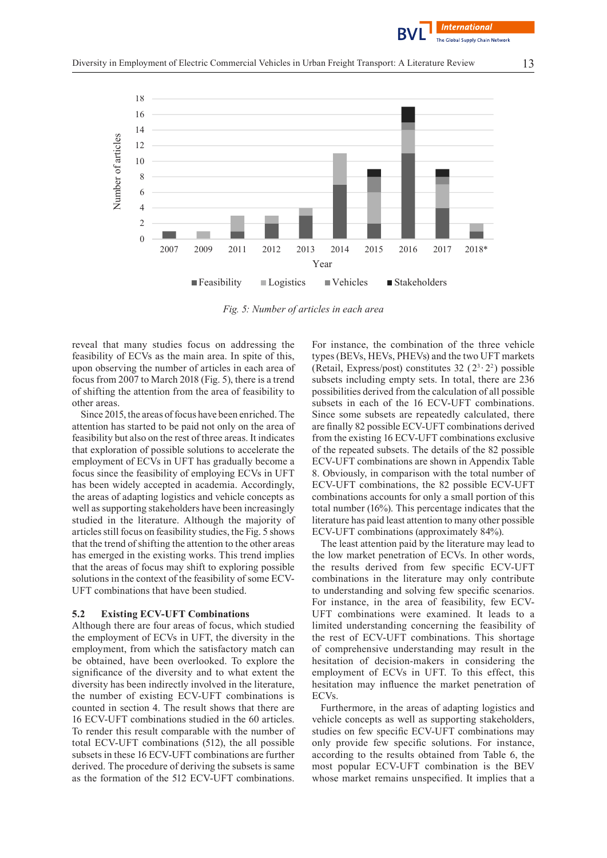



*Fig. 5: Number of articles in each area*

reveal that many studies focus on addressing the feasibility of ECVs as the main area. In spite of this, upon observing the number of articles in each area of focus from 2007 to March 2018 (Fig. 5), there is a trend of shifting the attention from the area of feasibility to other areas.

Since 2015, the areas of focus have been enriched. The attention has started to be paid not only on the area of feasibility but also on the rest of three areas. It indicates that exploration of possible solutions to accelerate the employment of ECVs in UFT has gradually become a focus since the feasibility of employing ECVs in UFT has been widely accepted in academia. Accordingly, the areas of adapting logistics and vehicle concepts as well as supporting stakeholders have been increasingly studied in the literature. Although the majority of articles still focus on feasibility studies, the Fig. 5 shows that the trend of shifting the attention to the other areas has emerged in the existing works. This trend implies that the areas of focus may shift to exploring possible solutions in the context of the feasibility of some ECV-UFT combinations that have been studied.

#### **5.2 Existing ECV-UFT Combinations**

Although there are four areas of focus, which studied the employment of ECVs in UFT, the diversity in the employment, from which the satisfactory match can be obtained, have been overlooked. To explore the significance of the diversity and to what extent the diversity has been indirectly involved in the literature, the number of existing ECV-UFT combinations is counted in section 4. The result shows that there are 16 ECV-UFT combinations studied in the 60 articles. To render this result comparable with the number of total ECV-UFT combinations (512), the all possible subsets in these 16 ECV-UFT combinations are further derived. The procedure of deriving the subsets is same as the formation of the 512 ECV-UFT combinations.

For instance, the combination of the three vehicle types (BEVs, HEVs, PHEVs) and the two UFT markets (Retail, Express/post) constitutes 32  $(2^3 \tcdot 2^2)$  possible subsets including empty sets. In total, there are 236 possibilities derived from the calculation of all possible subsets in each of the 16 ECV-UFT combinations. Since some subsets are repeatedly calculated, there arefinally 82 possible ECV-UFT combinations derived from the existing 16 ECV-UFT combinations exclusive of the repeated subsets. The details of the 82 possible ECV-UFT combinations are shown in Appendix Table 8. Obviously, in comparison with the total number of ECV-UFT combinations, the 82 possible ECV-UFT combinations accounts for only a small portion of this total number (16%). This percentage indicates that the literature has paid least attention to many other possible ECV-UFT combinations (approximately 84%).

The least attention paid by the literature may lead to the low market penetration of ECVs. In other words, the results derived from few specific ECV-UFT combinations in the literature may only contribute to understanding and solving few specific scenarios. For instance, in the area of feasibility, few ECV-UFT combinations were examined. It leads to a limited understanding concerning the feasibility of the rest of ECV-UFT combinations. This shortage of comprehensive understanding may result in the hesitation of decision-makers in considering the employment of ECVs in UFT. To this effect, this hesitation may influence the market penetration of ECVs.

Furthermore, in the areas of adapting logistics and vehicle concepts as well as supporting stakeholders, studies on few specific ECV-UFT combinations may only provide few specific solutions. For instance, according to the results obtained from Table 6, the most popular ECV-UFT combination is the BEV whose market remains unspecified. It implies that a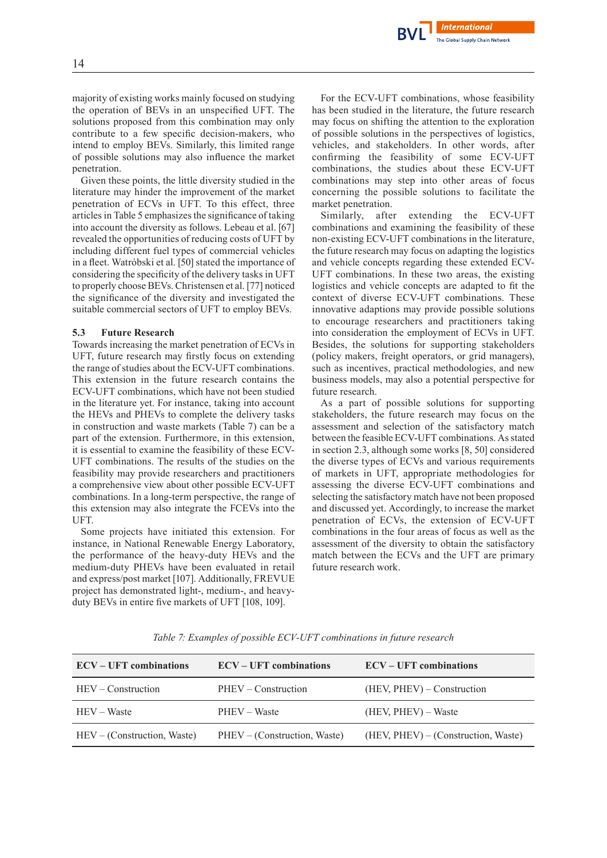**International** The Global Supply Chain Network

majority of existing works mainly focused on studying the operation of BEVs in an unspecified UFT. The solutions proposed from this combination may only contribute to a few specific decision-makers, who intend to employ BEVs. Similarly, this limited range of possible solutions may also influence the market penetration.

Given these points, the little diversity studied in the literature may hinder the improvement of the market penetration of ECVs in UFT. To this effect, three articles in Table 5 emphasizes the significance of taking into account the diversity as follows. Lebeau et al. [67] revealed the opportunities of reducing costs of UFT by including different fuel types of commercial vehicles in a fleet. Watróbski et al. [50] stated the importance of considering the specificity of the delivery tasks in UFT to properly choose BEVs. Christensen et al. [77] noticed the significance of the diversity and investigated the suitable commercial sectors of UFT to employ BEVs.

#### **5.3 Future Research**

Towards increasing the market penetration of ECVs in UFT, future research may firstly focus on extending the range of studies about the ECV-UFT combinations. This extension in the future research contains the ECV-UFT combinations, which have not been studied in the literature yet. For instance, taking into account the HEVs and PHEVs to complete the delivery tasks in construction and waste markets (Table 7) can be a part of the extension. Furthermore, in this extension, it is essential to examine the feasibility of these ECV-UFT combinations. The results of the studies on the feasibility may provide researchers and practitioners a comprehensive view about other possible ECV-UFT combinations. In a long-term perspective, the range of this extension may also integrate the FCEVs into the UFT.

Some projects have initiated this extension. For instance, in National Renewable Energy Laboratory, the performance of the heavy-duty HEVs and the medium-duty PHEVs have been evaluated in retail and express/post market [107]. Additionally, FREVUE project has demonstrated light-, medium-, and heavyduty BEVs in entire five markets of UFT [108, 109].

For the ECV-UFT combinations, whose feasibility has been studied in the literature, the future research may focus on shifting the attention to the exploration of possible solutions in the perspectives of logistics, vehicles, and stakeholders. In other words, after confirming the feasibility of some ECV-UFT combinations, the studies about these ECV-UFT combinations may step into other areas of focus concerning the possible solutions to facilitate the market penetration.

Similarly, after extending the ECV-UFT combinations and examining the feasibility of these non-existing ECV-UFT combinations in the literature, the future research may focus on adapting the logistics and vehicle concepts regarding these extended ECV-UFT combinations. In these two areas, the existing logistics and vehicle concepts are adapted to fit the context of diverse ECV-UFT combinations. These innovative adaptions may provide possible solutions to encourage researchers and practitioners taking into consideration the employment of ECVs in UFT. Besides, the solutions for supporting stakeholders (policy makers, freight operators, or grid managers), such as incentives, practical methodologies, and new business models, may also a potential perspective for future research.

As a part of possible solutions for supporting stakeholders, the future research may focus on the assessment and selection of the satisfactory match between the feasible ECV-UFT combinations. As stated in section 2.3, although some works [8, 50] considered the diverse types of ECVs and various requirements of markets in UFT, appropriate methodologies for assessing the diverse ECV-UFT combinations and selecting the satisfactory match have not been proposed and discussed yet. Accordingly, to increase the market penetration of ECVs, the extension of ECV-UFT combinations in the four areas of focus as well as the assessment of the diversity to obtain the satisfactory match between the ECVs and the UFT are primary future research work.

| <b>ECV</b> – UFT combinations | <b>ECV</b> – UFT combinations | <b>ECV</b> – UFT combinations       |
|-------------------------------|-------------------------------|-------------------------------------|
| $HEV$ – Construction          | PHEV – Construction           | (HEV, PHEV) – Construction          |
| HEV – Waste                   | PHEV – Waste                  | $(HEV, PHEV) - Waste$               |
| $HEV - (Construction, Waste)$ | PHEV – (Construction, Waste)  | (HEV, PHEV) – (Construction, Waste) |

*Table 7: Examples of possible ECV-UFT combinations in future research*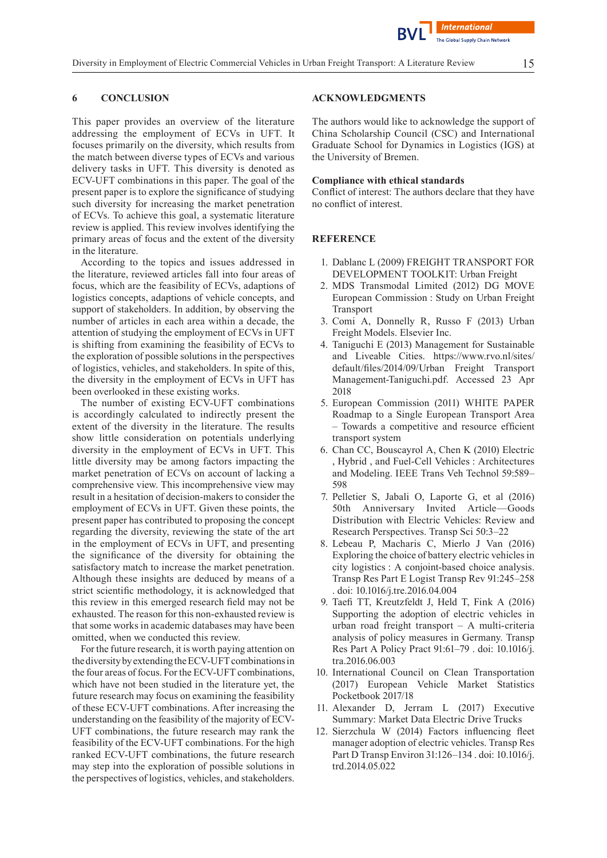## **6 CONCLUSION**

This paper provides an overview of the literature addressing the employment of ECVs in UFT. It focuses primarily on the diversity, which results from the match between diverse types of ECVs and various delivery tasks in UFT. This diversity is denoted as ECV-UFT combinations in this paper. The goal of the present paper is to explore the significance of studying such diversity for increasing the market penetration of ECVs. To achieve this goal, a systematic literature review is applied. This review involves identifying the primary areas of focus and the extent of the diversity in the literature.

According to the topics and issues addressed in the literature, reviewed articles fall into four areas of focus, which are the feasibility of ECVs, adaptions of logistics concepts, adaptions of vehicle concepts, and support of stakeholders. In addition, by observing the number of articles in each area within a decade, the attention of studying the employment of ECVs in UFT is shifting from examining the feasibility of ECVs to the exploration of possible solutions in the perspectives of logistics, vehicles, and stakeholders. In spite of this, the diversity in the employment of ECVs in UFT has been overlooked in these existing works.

The number of existing ECV-UFT combinations is accordingly calculated to indirectly present the extent of the diversity in the literature. The results show little consideration on potentials underlying diversity in the employment of ECVs in UFT. This little diversity may be among factors impacting the market penetration of ECVs on account of lacking a comprehensive view. This incomprehensive view may result in a hesitation of decision-makers to consider the employment of ECVs in UFT. Given these points, the present paper has contributed to proposing the concept regarding the diversity, reviewing the state of the art in the employment of ECVs in UFT, and presenting the significance of the diversity for obtaining the satisfactory match to increase the market penetration. Although these insights are deduced by means of a strict scientific methodology, it is acknowledged that this review in this emerged research field may not be exhausted. The reason for this non-exhausted review is that some works in academic databases may have been omitted, when we conducted this review.

For the future research, it is worth paying attention on the diversity by extending the ECV-UFT combinations in the four areas of focus. For the ECV-UFT combinations, which have not been studied in the literature yet, the future research may focus on examining the feasibility of these ECV-UFT combinations. After increasing the understanding on the feasibility of the majority of ECV-UFT combinations, the future research may rank the feasibility of the ECV-UFT combinations.For the high ranked ECV-UFT combinations, the future research may step into the exploration of possible solutions in the perspectives of logistics, vehicles, and stakeholders.

## **ACKNOWLEDGMENTS**

The authors would like to acknowledge the support of China Scholarship Council (CSC) and International Graduate School for Dynamics in Logistics (IGS) at the University of Bremen.

#### **Compliance with ethical standards**

Conflict of interest: The authors declare that they have no conflict of interest.

#### **REFERENCE**

- 1. Dablanc L (2009) FREIGHT TRANSPORT FOR DEVELOPMENT TOOLKIT: Urban Freight
- 2. MDS Transmodal Limited (2012) DG MOVE European Commission : Study on Urban Freight Transport
- 3. Comi A, Donnelly R, Russo F (2013) Urban Freight Models. Elsevier Inc.
- 4. Taniguchi E (2013) Management for Sustainable and Liveable Cities. https://www.rvo.nl/sites/ default/files/2014/09/Urban Freight Transport Management-Taniguchi.pdf. Accessed 23 Apr 2018
- 5. European Commission (2011) WHITE PAPER Roadmap to a Single European Transport Area – Towards a competitive and resource efficient transport system
- 6. Chan CC, Bouscayrol A, Chen K (2010) Electric , Hybrid , and Fuel-Cell Vehicles : Architectures and Modeling. IEEE Trans Veh Technol 59:589– 598
- 7. Pelletier S, Jabali O, Laporte G, et al (2016) 50th Anniversary Invited Article—Goods Distribution with Electric Vehicles: Review and Research Perspectives. Transp Sci 50:3–22
- 8. Lebeau P, Macharis C, Mierlo J Van (2016) Exploring the choice of battery electric vehicles in city logistics : A conjoint-based choice analysis. Transp Res Part E Logist Transp Rev 91:245–258 . doi: 10.1016/j.tre.2016.04.004
- 9. Taefi TT, Kreutzfeldt J, Held T, Fink A (2016) Supporting the adoption of electric vehicles in urban road freight transport – A multi-criteria analysis of policy measures in Germany. Transp Res Part A Policy Pract 91:61–79 . doi: 10.1016/j. tra.2016.06.003
- 10. International Council on Clean Transportation (2017) European Vehicle Market Statistics Pocketbook 2017/18
- 11. Alexander D, Jerram L (2017) Executive Summary: Market Data Electric Drive Trucks
- 12. Sierzchula W (2014) Factors influencing fleet manager adoption of electric vehicles. Transp Res Part D Transp Environ 31:126–134 . doi: 10.1016/j. trd.2014.05.022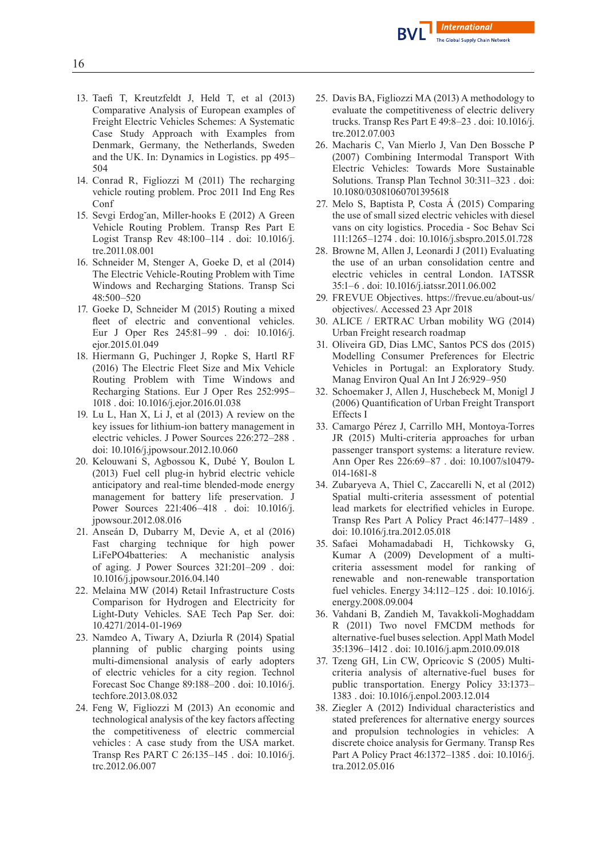

- 13. Taefi T, Kreutzfeldt J, Held T, et al (2013) Comparative Analysis of European examples of Freight Electric Vehicles Schemes: A Systematic Case Study Approach with Examples from Denmark, Germany, the Netherlands, Sweden and the UK. In: Dynamics in Logistics. pp 495– 504
- 14. Conrad R, Figliozzi M (2011) The recharging vehicle routing problem. Proc 2011 Ind Eng Res Conf
- 15. Sevgi Erdog˘an, Miller-hooks E (2012) A Green Vehicle Routing Problem. Transp Res Part E Logist Transp Rev 48:100–114 . doi: 10.1016/j. tre.2011.08.001
- 16. Schneider M, Stenger A, Goeke D, et al (2014) The Electric Vehicle-Routing Problem with Time Windows and Recharging Stations. Transp Sci 48:500–520
- 17. Goeke D, Schneider M (2015) Routing a mixed fleet of electric and conventional vehicles. Eur J Oper Res 245:81–99 . doi: 10.1016/j. ejor.2015.01.049
- 18. Hiermann G, Puchinger J, Ropke S, Hartl RF (2016) The Electric Fleet Size and Mix Vehicle Routing Problem with Time Windows and Recharging Stations. Eur J Oper Res 252:995– 1018 . doi: 10.1016/j.ejor.2016.01.038
- 19. Lu L, Han X, Li J, et al (2013) A review on the key issues for lithium-ion battery management in electric vehicles. J Power Sources 226:272–288 . doi: 10.1016/j.jpowsour.2012.10.060
- 20. Kelouwani S, Agbossou K, Dubé Y, Boulon L (2013) Fuel cell plug-in hybrid electric vehicle anticipatory and real-time blended-mode energy management for battery life preservation. J Power Sources 221:406–418 . doi: 10.1016/j. jpowsour.2012.08.016
- 21. Anseán D, Dubarry M, Devie A, et al (2016) Fast charging technique for high power LiFePO4batteries: A mechanistic analysis of aging. J Power Sources 321:201–209 . doi: 10.1016/j.jpowsour.2016.04.140
- 22. Melaina MW (2014) Retail Infrastructure Costs Comparison for Hydrogen and Electricity for Light-Duty Vehicles. SAE Tech Pap Ser. doi: 10.4271/2014-01-1969
- 23. Namdeo A, Tiwary A, Dziurla R (2014) Spatial planning of public charging points using multi-dimensional analysis of early adopters of electric vehicles for a city region. Technol Forecast Soc Change 89:188–200 . doi: 10.1016/j. techfore.2013.08.032
- 24. Feng W, Figliozzi M (2013) An economic and technological analysis of the key factors affecting the competitiveness of electric commercial vehicles : A case study from the USA market. Transp Res PART C 26:135–145 . doi: 10.1016/j. trc.2012.06.007
- 25. Davis BA,Figliozzi MA (2013) A methodology to evaluate the competitiveness of electric delivery trucks. Transp Res Part E 49:8–23 . doi: 10.1016/j. tre.2012.07.003
- 26. Macharis C, Van Mierlo J, Van Den Bossche P (2007) Combining Intermodal Transport With Electric Vehicles: Towards More Sustainable Solutions. Transp Plan Technol 30:311–323 . doi: 10.1080/03081060701395618
- 27. Melo S, Baptista P, Costa Á (2015) Comparing the use of small sized electric vehicles with diesel vans on city logistics. Procedia - Soc Behav Sci 111:1265–1274 . doi: 10.1016/j.sbspro.2015.01.728
- 28. Browne M, Allen J, Leonardi J (2011) Evaluating the use of an urban consolidation centre and electric vehicles in central London. IATSSR 35:1–6 . doi: 10.1016/j.iatssr.2011.06.002
- 29. FREVUE Objectives. https://frevue.eu/about-us/ objectives/. Accessed 23 Apr 2018
- 30. ALICE / ERTRAC Urban mobility WG (2014) Urban Freight research roadmap
- 31. Oliveira GD, Dias LMC, Santos PCS dos (2015) Modelling Consumer Preferences for Electric Vehicles in Portugal: an Exploratory Study. Manag Environ Qual An Int J 26:929–950
- 32. Schoemaker J, Allen J, Huschebeck M, Monigl J (2006) Quantification of Urban Freight Transport Effects I
- 33. Camargo Pérez J, Carrillo MH, Montoya-Torres JR (2015) Multi-criteria approaches for urban passenger transport systems: a literature review. Ann Oper Res 226:69–87 . doi: 10.1007/s10479- 014-1681-8
- 34. Zubaryeva A, Thiel C, Zaccarelli N, et al (2012) Spatial multi-criteria assessment of potential lead markets for electrified vehicles in Europe. Transp Res Part A Policy Pract 46:1477–1489 . doi: 10.1016/j.tra.2012.05.018
- 35. Safaei Mohamadabadi H, Tichkowsky G, Kumar A (2009) Development of a multicriteria assessment model for ranking of renewable and non-renewable transportation fuel vehicles. Energy 34:112–125 . doi: 10.1016/j. energy.2008.09.004
- 36. Vahdani B, Zandieh M, Tavakkoli-Moghaddam R (2011) Two novel FMCDM methods for alternative-fuel busesselection. Appl Math Model 35:1396–1412 . doi: 10.1016/j.apm.2010.09.018
- 37. Tzeng GH, Lin CW, Opricovic S (2005) Multicriteria analysis of alternative-fuel buses for public transportation. Energy Policy 33:1373– 1383 . doi: 10.1016/j.enpol.2003.12.014
- 38. Ziegler A (2012) Individual characteristics and stated preferences for alternative energy sources and propulsion technologies in vehicles: A discrete choice analysis for Germany. Transp Res Part A Policy Pract 46:1372–1385 . doi: 10.1016/j. tra.2012.05.016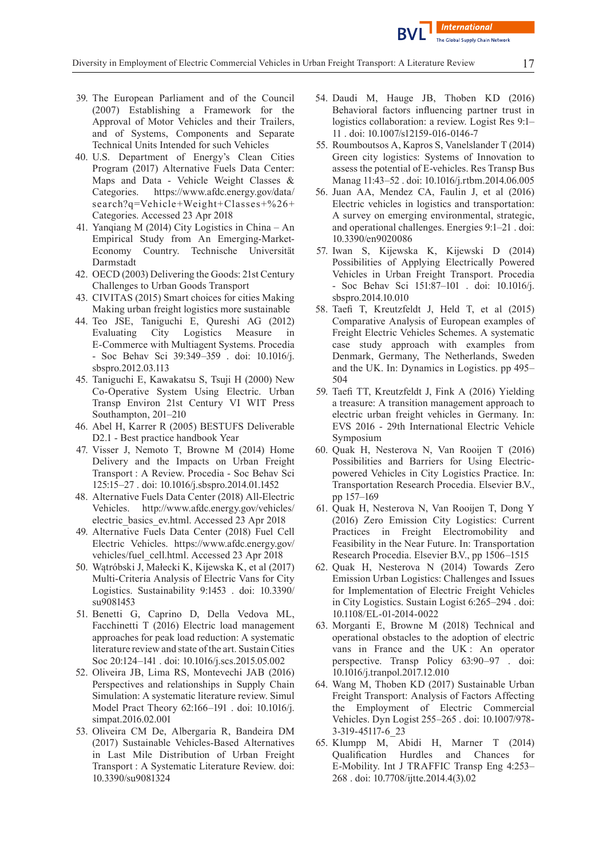

- 39. The European Parliament and of the Council (2007) Establishing a Framework for the Approval of Motor Vehicles and their Trailers, and of Systems, Components and Separate Technical Units Intended for such Vehicles
- 40. U.S. Department of Energy's Clean Cities Program (2017) Alternative Fuels Data Center: Maps and Data - Vehicle Weight Classes & Categories. https://www.afdc.energy.gov/data/ search?q=Vehicle+Weight+Classes+%26+ Categories. Accessed 23 Apr 2018
- 41. Yanqiang M (2014) City Logistics in China An Empirical Study from An Emerging-Market-Economy Country. Technische Universität Darmstadt
- 42. OECD (2003) Delivering the Goods: 21st Century Challenges to Urban Goods Transport
- 43. CIVITAS (2015) Smart choices for cities Making Making urban freight logistics more sustainable
- 44. Teo JSE, Taniguchi E, Qureshi AG (2012) Evaluating City Logistics Measure in E-Commerce with Multiagent Systems. Procedia - Soc Behav Sci 39:349–359 . doi: 10.1016/j. sbspro.2012.03.113
- 45. Taniguchi E, Kawakatsu S, Tsuji H (2000) New Co-Operative System Using Electric. Urban Transp Environ 21st Century VI WIT Press Southampton, 201–210
- 46. Abel H, Karrer R (2005) BESTUFS Deliverable D2.1 - Best practice handbook Year
- 47. Visser J, Nemoto T, Browne M (2014) Home Delivery and the Impacts on Urban Freight Transport : A Review. Procedia - Soc Behav Sci 125:15–27 . doi: 10.1016/j.sbspro.2014.01.1452
- 48. Alternative Fuels Data Center (2018) All-Electric Vehicles. http://www.afdc.energy.gov/vehicles/ electric\_basics\_ev.html. Accessed 23 Apr 2018
- 49. Alternative Fuels Data Center (2018) Fuel Cell Electric Vehicles. https://www.afdc.energy.gov/ vehicles/fuel\_cell.html. Accessed 23 Apr 2018
- 50. Wątróbski J, Małecki K, Kijewska K, et al (2017) Multi-Criteria Analysis of Electric Vans for City Logistics. Sustainability 9:1453 . doi: 10.3390/ su9081453
- 51. Benetti G, Caprino D, Della Vedova ML, Facchinetti T (2016) Electric load management approaches for peak load reduction: A systematic literature review and state of the art. Sustain Cities Soc 20:124–141 . doi: 10.1016/j.scs.2015.05.002
- 52. Oliveira JB, Lima RS, Montevechi JAB (2016) Perspectives and relationships in Supply Chain Simulation: A systematic literature review. Simul Model Pract Theory 62:166–191 . doi: 10.1016/j. simpat.2016.02.001
- 53. Oliveira CM De, Albergaria R, Bandeira DM (2017) Sustainable Vehicles-Based Alternatives in Last Mile Distribution of Urban Freight Transport : A Systematic Literature Review. doi: 10.3390/su9081324
- 54. Daudi M, Hauge JB, Thoben KD (2016) Behavioral factors influencing partner trust in logistics collaboration: a review. Logist Res 9:1– 11 . doi: 10.1007/s12159-016-0146-7
- 55. Roumboutsos A, Kapros S, Vanelslander T (2014) Green city logistics: Systems of Innovation to assess the potential of E-vehicles. Res Transp Bus Manag 11:43–52 . doi: 10.1016/j.rtbm.2014.06.005
- 56. Juan AA, Mendez CA, Faulin J, et al (2016) Electric vehicles in logistics and transportation: A survey on emerging environmental, strategic, and operational challenges. Energies 9:1–21 . doi: 10.3390/en9020086
- 57. Iwan S, Kijewska K, Kijewski D (2014) Possibilities of Applying Electrically Powered Vehicles in Urban Freight Transport. Procedia - Soc Behav Sci 151:87–101 . doi: 10.1016/j. sbspro.2014.10.010
- 58. Taefi T, Kreutzfeldt J, Held T, et al (2015) Comparative Analysis of European examples of Freight Electric Vehicles Schemes. A systematic case study approach with examples from Denmark, Germany, The Netherlands, Sweden and the UK. In: Dynamics in Logistics. pp 495– 504
- 59. Taefi TT, Kreutzfeldt J, Fink A (2016) Yielding a treasure: A transition management approach to electric urban freight vehicles in Germany. In: EVS 2016 - 29th International Electric Vehicle Symposium
- 60. Quak H, Nesterova N, Van Rooijen T (2016) Possibilities and Barriers for Using Electricpowered Vehicles in City Logistics Practice. In: Transportation Research Procedia. Elsevier B.V., pp 157–169
- 61. Quak H, Nesterova N, Van Rooijen T, Dong Y (2016) Zero Emission City Logistics: Current Practices in Freight Electromobility and Feasibility in the Near Future. In: Transportation Research Procedia. Elsevier B.V., pp 1506–1515
- 62. Quak H, Nesterova N (2014) Towards Zero Emission Urban Logistics: Challenges and Issues for Implementation of Electric Freight Vehicles in City Logistics. Sustain Logist 6:265–294 . doi: 10.1108/EL-01-2014-0022
- 63. Morganti E, Browne M (2018) Technical and operational obstacles to the adoption of electric vans in France and the UK : An operator perspective. Transp Policy 63:90–97 . doi: 10.1016/j.tranpol.2017.12.010
- 64. Wang M, Thoben KD (2017) Sustainable Urban Freight Transport: Analysis of Factors Affecting the Employment of Electric Commercial Vehicles. Dyn Logist 255–265 . doi: 10.1007/978- 3-319-45117-6\_23
- 65. Klumpp M, Abidi H, Marner T (2014) Qualification Hurdles and Chances for E-Mobility. Int J TRAFFIC Transp Eng 4:253– 268 . doi: 10.7708/ijtte.2014.4(3).02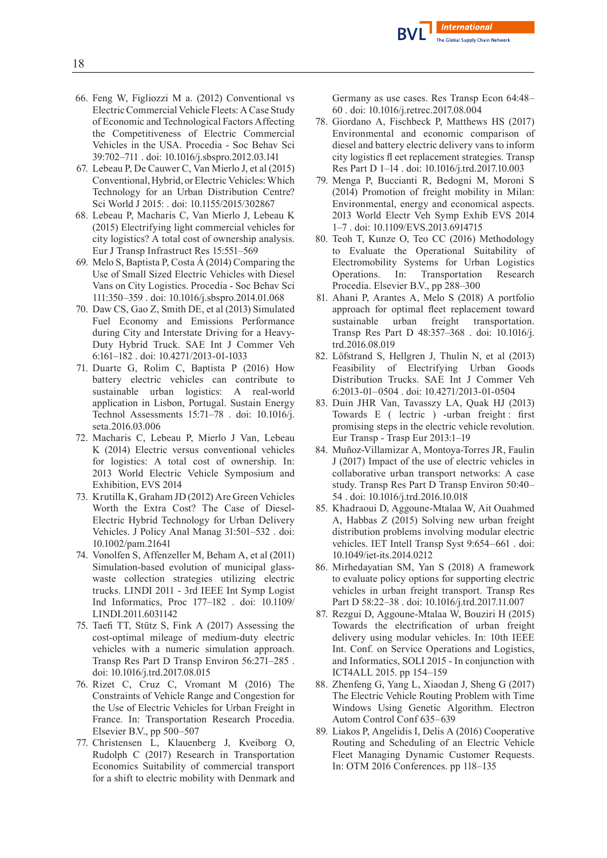

- 66. Feng W, Figliozzi M a. (2012) Conventional vs Electric Commercial Vehicle Fleets: A Case Study of Economic and Technological Factors Affecting the Competitiveness of Electric Commercial Vehicles in the USA. Procedia - Soc Behav Sci 39:702–711 . doi: 10.1016/j.sbspro.2012.03.141
- 67. LebeauP, De Cauwer C, Van Mierlo J, et al (2015) Conventional, Hybrid, or Electric Vehicles: Which Technology for an Urban Distribution Centre? Sci World J 2015: . doi: 10.1155/2015/302867
- 68. Lebeau P, Macharis C, Van Mierlo J, Lebeau K (2015) Electrifying light commercial vehicles for city logistics? A total cost of ownership analysis. Eur J Transp Infrastruct Res 15:551–569
- 69. MeloS, BaptistaP, Costa Á (2014) Comparing the Use of Small Sized Electric Vehicles with Diesel Vans on City Logistics. Procedia - Soc Behav Sci 111:350–359 . doi: 10.1016/j.sbspro.2014.01.068
- 70. Daw CS, Gao Z, Smith DE, et al (2013) Simulated Fuel Economy and Emissions Performance during City and Interstate Driving for a Heavy-Duty Hybrid Truck. SAE Int J Commer Veh 6:161–182 . doi: 10.4271/2013-01-1033
- 71. Duarte G, Rolim C, Baptista P (2016) How battery electric vehicles can contribute to sustainable urban logistics: A real-world application in Lisbon, Portugal. Sustain Energy Technol Assessments 15:71–78 . doi: 10.1016/j. seta.2016.03.006
- 72. Macharis C, Lebeau P, Mierlo J Van, Lebeau K (2014) Electric versus conventional vehicles for logistics: A total cost of ownership. In: 2013 World Electric Vehicle Symposium and Exhibition, EVS 2014
- 73. Krutilla K, Graham JD (2012) Are Green Vehicles Worth the Extra Cost? The Case of Diesel-Electric Hybrid Technology for Urban Delivery Vehicles. J Policy Anal Manag 31:501–532 . doi: 10.1002/pam.21641
- 74. Vonolfen S, Affenzeller M, Beham A, et al (2011) Simulation-based evolution of municipal glasswaste collection strategies utilizing electric trucks. LINDI 2011 - 3rd IEEE Int Symp Logist Ind Informatics, Proc 177–182 . doi: 10.1109/ LINDI.2011.6031142
- 75. Taefi TT, Stütz S, Fink A (2017) Assessing the cost-optimal mileage of medium-duty electric vehicles with a numeric simulation approach. Transp Res Part D Transp Environ 56:271–285 . doi: 10.1016/j.trd.2017.08.015
- 76. Rizet C, Cruz C, Vromant M (2016) The Constraints of Vehicle Range and Congestion for the Use of Electric Vehicles for Urban Freight in France. In: Transportation Research Procedia. Elsevier B.V., pp 500–507
- 77. Christensen L, Klauenberg J, Kveiborg O, Rudolph C (2017) Research in Transportation Economics Suitability of commercial transport for a shift to electric mobility with Denmark and

Germany as use cases. Res Transp Econ 64:48– 60 . doi: 10.1016/j.retrec.2017.08.004

- 78. Giordano A, Fischbeck P, Matthews HS (2017) Environmental and economic comparison of diesel and battery electric delivery vans to inform city logistics fl eet replacement strategies. Transp Res Part D 1–14 . doi: 10.1016/j.trd.2017.10.003
- 79. Menga P, Buccianti R, Bedogni M, Moroni S (2014) Promotion of freight mobility in Milan: Environmental, energy and economical aspects. 2013 World Electr Veh Symp Exhib EVS 2014 1–7 . doi: 10.1109/EVS.2013.6914715
- 80. Teoh T, Kunze O, Teo CC (2016) Methodology to Evaluate the Operational Suitability of Electromobility Systems for Urban Logistics Operations. In: Transportation Research Procedia. Elsevier B.V., pp 288–300
- 81. Ahani P, Arantes A, Melo S (2018) A portfolio approach for optimal fleet replacement toward sustainable urban freight transportation. Transp Res Part D 48:357–368 . doi: 10.1016/j. trd.2016.08.019
- 82. Löfstrand S, Hellgren J, Thulin N, et al (2013) Feasibility of Electrifying Urban Goods Distribution Trucks. SAE Int J Commer Veh 6:2013-01–0504 . doi: 10.4271/2013-01-0504
- 83. Duin JHR Van, Tavasszy LA, Quak HJ (2013) Towards E ( lectric ) -urban freight : first promising steps in the electric vehicle revolution. Eur Transp - Trasp Eur 2013:1–19
- 84. Muñoz-Villamizar A, Montoya-Torres JR, Faulin J (2017) Impact of the use of electric vehicles in collaborative urban transport networks: A case study. Transp Res Part D Transp Environ 50:40– 54 . doi: 10.1016/j.trd.2016.10.018
- 85. Khadraoui D, Aggoune-Mtalaa W, Ait Ouahmed A, Habbas Z (2015) Solving new urban freight distribution problems involving modular electric vehicles. IET Intell Transp Syst 9:654–661 . doi: 10.1049/iet-its.2014.0212
- 86. Mirhedayatian SM, Yan S (2018) A framework to evaluate policy options for supporting electric vehicles in urban freight transport. Transp Res Part D 58:22–38 . doi: 10.1016/j.trd.2017.11.007
- 87. Rezgui D, Aggoune-Mtalaa W, Bouziri H (2015) Towards the electrification of urban freight delivery using modular vehicles. In: 10th IEEE Int. Conf. on Service Operations and Logistics, and Informatics, SOLI 2015 - In conjunction with ICT4ALL 2015. pp 154–159
- 88. Zhenfeng G, Yang L, Xiaodan J, Sheng G (2017) The Electric Vehicle Routing Problem with Time Windows Using Genetic Algorithm. Electron Autom Control Conf 635–639
- 89. Liakos P, Angelidis I, Delis A (2016) Cooperative Routing and Scheduling of an Electric Vehicle Fleet Managing Dynamic Customer Requests. In: OTM 2016 Conferences. pp 118–135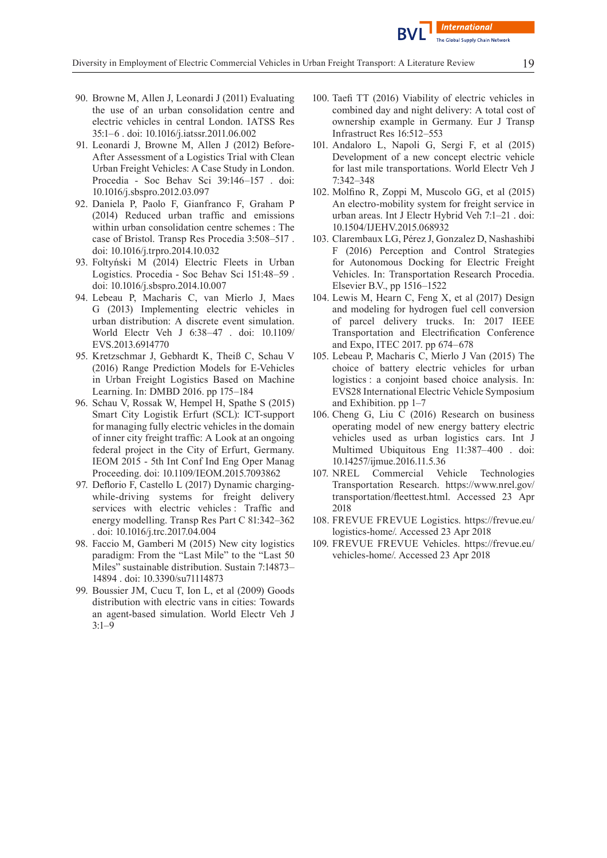

- 90. Browne M, Allen J, Leonardi J (2011) Evaluating the use of an urban consolidation centre and electric vehicles in central London. IATSS Res 35:1–6 . doi: 10.1016/j.iatssr.2011.06.002
- 91. Leonardi J, Browne M, Allen J (2012) Before-After Assessment of a Logistics Trial with Clean Urban Freight Vehicles: A Case Study in London. Procedia - Soc Behav Sci 39:146–157 . doi: 10.1016/j.sbspro.2012.03.097
- 92. Daniela P, Paolo F, Gianfranco F, Graham P (2014) Reduced urban traffic and emissions within urban consolidation centre schemes : The case of Bristol. Transp Res Procedia 3:508–517 . doi: 10.1016/j.trpro.2014.10.032
- 93. Foltyński M (2014) Electric Fleets in Urban Logistics. Procedia - Soc Behav Sci 151:48–59 . doi: 10.1016/j.sbspro.2014.10.007
- 94. Lebeau P, Macharis C, van Mierlo J, Maes G (2013) Implementing electric vehicles in urban distribution: A discrete event simulation. World Electr Veh J 6:38–47 . doi: 10.1109/ EVS.2013.6914770
- 95. Kretzschmar J, Gebhardt K, Theiß C, Schau V (2016) Range Prediction Models for E-Vehicles in Urban Freight Logistics Based on Machine Learning. In: DMBD 2016. pp 175–184
- 96. Schau V, Rossak W, Hempel H, Spathe S (2015) Smart City Logistik Erfurt (SCL): ICT-support for managing fully electric vehicles in the domain of inner city freight traffic: A Look at an ongoing federal project in the City of Erfurt, Germany. IEOM 2015 - 5th Int Conf Ind Eng Oper Manag Proceeding. doi: 10.1109/IEOM.2015.7093862
- 97. Deflorio F, Castello L (2017) Dynamic chargingwhile-driving systems for freight delivery services with electric vehicles : Traffic and energy modelling. Transp Res Part C 81:342–362 . doi: 10.1016/j.trc.2017.04.004
- 98. Faccio M, Gamberi M (2015) New city logistics paradigm: From the "Last Mile" to the "Last 50 Miles" sustainable distribution. Sustain 7:14873– 14894 . doi: 10.3390/su71114873
- 99. Boussier JM, Cucu T, Ion L, et al (2009) Goods distribution with electric vans in cities: Towards an agent-based simulation. World Electr Veh J 3:1–9
- 100. Taefi TT (2016) Viability of electric vehicles in combined day and night delivery: A total cost of ownership example in Germany. Eur J Transp Infrastruct Res 16:512–553
- 101. Andaloro L, Napoli G, Sergi F, et al (2015) Development of a new concept electric vehicle for last mile transportations. World Electr Veh J 7:342–348
- 102. Molfino R, Zoppi M, Muscolo GG, et al (2015) An electro-mobility system for freight service in urban areas. Int J Electr Hybrid Veh 7:1–21 . doi: 10.1504/IJEHV.2015.068932
- 103. Clarembaux LG,Pérez J, Gonzalez D, Nashashibi F (2016) Perception and Control Strategies for Autonomous Docking for Electric Freight Vehicles. In: Transportation Research Procedia. Elsevier B.V., pp 1516–1522
- 104. Lewis M, Hearn C, Feng X, et al (2017) Design and modeling for hydrogen fuel cell conversion of parcel delivery trucks. In: 2017 IEEE Transportation and Electrification Conference and Expo, ITEC 2017. pp 674–678
- 105. Lebeau P, Macharis C, Mierlo J Van (2015) The choice of battery electric vehicles for urban logistics : a conjoint based choice analysis. In: EVS28 International Electric Vehicle Symposium and Exhibition. pp 1–7
- 106. Cheng G, Liu C (2016) Research on business operating model of new energy battery electric vehicles used as urban logistics cars. Int J Multimed Ubiquitous Eng 11:387–400 . doi: 10.14257/ijmue.2016.11.5.36
- 107. NREL Commercial Vehicle Technologies Transportation Research. https://www.nrel.gov/ transportation/fleettest.html. Accessed 23 Apr 2018
- 108. FREVUE FREVUE Logistics. https://frevue.eu/ logistics-home/. Accessed 23 Apr 2018
- 109. FREVUE FREVUE Vehicles. https://frevue.eu/ vehicles-home/. Accessed 23 Apr 2018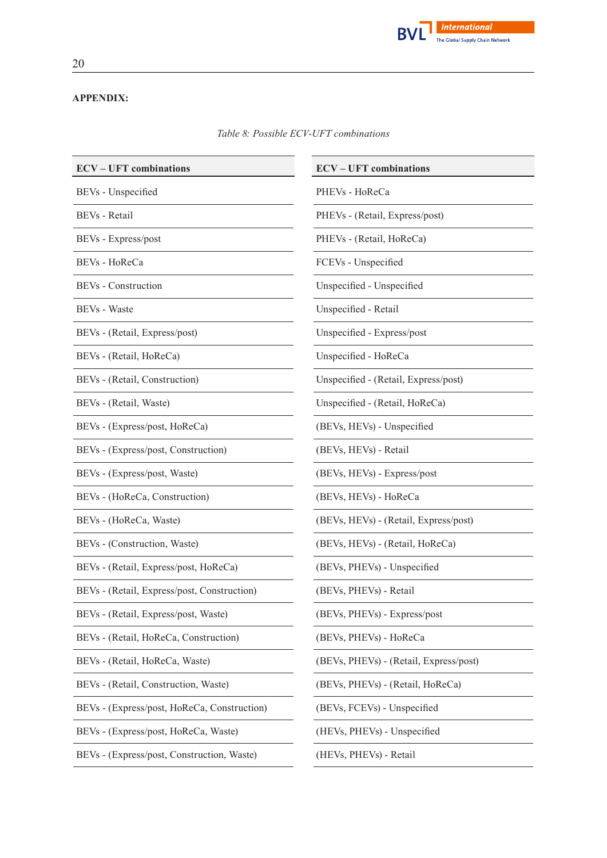

## **APPENDIX:**

*Table 8: Possible ECV-UFT combinations*

| <b>ECV-UFT</b> combinations                 | <b>ECV-UFT</b> combinations            |
|---------------------------------------------|----------------------------------------|
| BEVs - Unspecified                          | PHEVs - HoReCa                         |
| BEVs - Retail                               | PHEVs - (Retail, Express/post)         |
| BEVs - Express/post                         | PHEVs - (Retail, HoReCa)               |
| BEVs - HoReCa                               | FCEVs - Unspecified                    |
| BEVs - Construction                         | Unspecified - Unspecified              |
| BEVs - Waste                                | Unspecified - Retail                   |
| BEVs - (Retail, Express/post)               | Unspecified - Express/post             |
| BEVs - (Retail, HoReCa)                     | Unspecified - HoReCa                   |
| BEVs - (Retail, Construction)               | Unspecified - (Retail, Express/post)   |
| BEVs - (Retail, Waste)                      | Unspecified - (Retail, HoReCa)         |
| BEVs - (Express/post, HoReCa)               | (BEVs, HEVs) - Unspecified             |
| BEVs - (Express/post, Construction)         | (BEVs, HEVs) - Retail                  |
| BEVs - (Express/post, Waste)                | (BEVs, HEVs) - Express/post            |
| BEVs - (HoReCa, Construction)               | (BEVs, HEVs) - HoReCa                  |
| BEVs - (HoReCa, Waste)                      | (BEVs, HEVs) - (Retail, Express/post)  |
| BEVs - (Construction, Waste)                | (BEVs, HEVs) - (Retail, HoReCa)        |
| BEVs - (Retail, Express/post, HoReCa)       | (BEVs, PHEVs) - Unspecified            |
| BEVs - (Retail, Express/post, Construction) | (BEVs, PHEVs) - Retail                 |
| BEVs - (Retail, Express/post, Waste)        | (BEVs, PHEVs) - Express/post           |
| BEVs - (Retail, HoReCa, Construction)       | (BEVs, PHEVs) - HoReCa                 |
| BEVs - (Retail, HoReCa, Waste)              | (BEVs, PHEVs) - (Retail, Express/post) |
| BEVs - (Retail, Construction, Waste)        | (BEVs, PHEVs) - (Retail, HoReCa)       |
| BEVs - (Express/post, HoReCa, Construction) | (BEVs, FCEVs) - Unspecified            |
| BEVs - (Express/post, HoReCa, Waste)        | (HEVs, PHEVs) - Unspecified            |
| BEVs - (Express/post, Construction, Waste)  | (HEVs, PHEVs) - Retail                 |